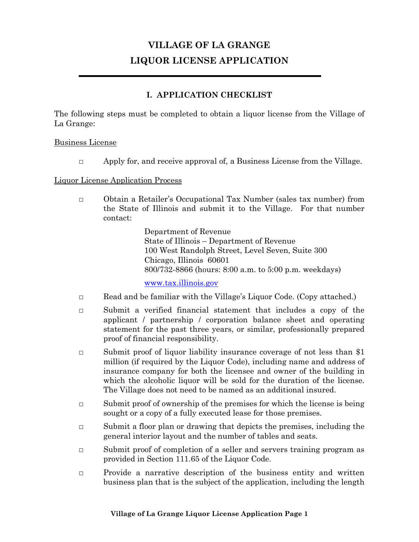# **VILLAGE OF LA GRANGE LIQUOR LICENSE APPLICATION**

# **I. APPLICATION CHECKLIST**

The following steps must be completed to obtain a liquor license from the Village of La Grange:

#### Business License

 $\Box$  Apply for, and receive approval of, a Business License from the Village.

#### Liquor License Application Process

**□** Obtain a Retailer's Occupational Tax Number (sales tax number) from the State of Illinois and submit it to the Village. For that number contact:

> Department of Revenue State of Illinois – Department of Revenue 100 West Randolph Street, Level Seven, Suite 300 Chicago, Illinois 60601 800/732-8866 (hours: 8:00 a.m. to 5:00 p.m. weekdays)

[www.tax.illinois.gov](http://www.tax.illinois.gov/)

- **□** Read and be familiar with the Village's Liquor Code. (Copy attached.)
- **□** Submit a verified financial statement that includes a copy of the applicant / partnership / corporation balance sheet and operating statement for the past three years, or similar, professionally prepared proof of financial responsibility.
- **□** Submit proof of liquor liability insurance coverage of not less than \$1 million (if required by the Liquor Code), including name and address of insurance company for both the licensee and owner of the building in which the alcoholic liquor will be sold for the duration of the license. The Village does not need to be named as an additional insured.
- **□** Submit proof of ownership of the premises for which the license is being sought or a copy of a fully executed lease for those premises.
- **□** Submit a floor plan or drawing that depicts the premises, including the general interior layout and the number of tables and seats.
- **□** Submit proof of completion of a seller and servers training program as provided in Section 111.65 of the Liquor Code.
- **□** Provide a narrative description of the business entity and written business plan that is the subject of the application, including the length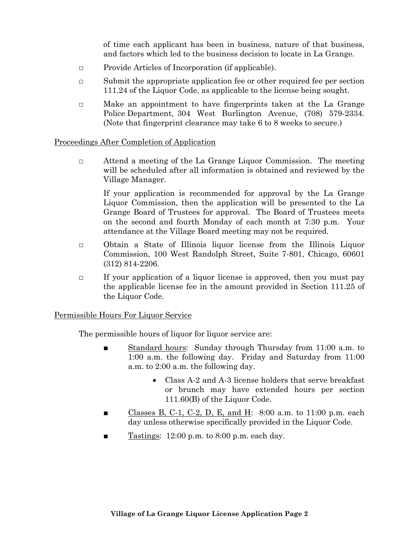of time each applicant has been in business, nature of that business, and factors which led to the business decision to locate in La Grange.

- **□** Provide Articles of Incorporation (if applicable).
- **□** Submit the appropriate application fee or other required fee per section 111.24 of the Liquor Code, as applicable to the license being sought.
- □ Make an appointment to have fingerprints taken at the La Grange Police Department, 304 West Burlington Avenue, (708) 579-2334. (Note that fingerprint clearance may take 6 to 8 weeks to secure.)

#### Proceedings After Completion of Application

**□** Attend a meeting of the La Grange Liquor Commission. The meeting will be scheduled after all information is obtained and reviewed by the Village Manager.

If your application is recommended for approval by the La Grange Liquor Commission, then the application will be presented to the La Grange Board of Trustees for approval. The Board of Trustees meets on the second and fourth Monday of each month at 7:30 p.m. Your attendance at the Village Board meeting may not be required.

- **□** Obtain a State of Illinois liquor license from the Illinois Liquor Commission, 100 West Randolph Street, Suite 7-801, Chicago, 60601 (312) 814-2206.
- **□** If your application of a liquor license is approved, then you must pay the applicable license fee in the amount provided in Section 111.25 of the Liquor Code.

#### Permissible Hours For Liquor Service

The permissible hours of liquor for liquor service are:

- Standard hours: Sunday through Thursday from 11:00 a.m. to 1:00 a.m. the following day. Friday and Saturday from 11:00 a.m. to 2:00 a.m. the following day.
	- Class A-2 and A-3 license holders that serve breakfast or brunch may have extended hours per section 111.60(B) of the Liquor Code.
- Classes B, C-1, C-2, D, E, and H:  $8:00$  a.m. to 11:00 p.m. each day unless otherwise specifically provided in the Liquor Code.
- Tastings:  $12:00$  p.m. to  $8:00$  p.m. each day.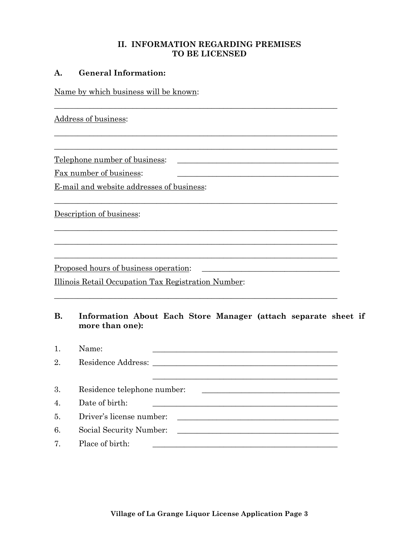#### **II. INFORMATION REGARDING PREMISES TO BE LICENSED**

\_\_\_\_\_\_\_\_\_\_\_\_\_\_\_\_\_\_\_\_\_\_\_\_\_\_\_\_\_\_\_\_\_\_\_\_\_\_\_\_\_\_\_\_\_\_\_\_\_\_\_\_\_\_\_\_\_\_\_\_\_\_\_\_\_\_\_\_\_\_\_\_

 $\_$  , and the set of the set of the set of the set of the set of the set of the set of the set of the set of the set of the set of the set of the set of the set of the set of the set of the set of the set of the set of th  $\_$  , and the set of the set of the set of the set of the set of the set of the set of the set of the set of the set of the set of the set of the set of the set of the set of the set of the set of the set of the set of th

\_\_\_\_\_\_\_\_\_\_\_\_\_\_\_\_\_\_\_\_\_\_\_\_\_\_\_\_\_\_\_\_\_\_\_\_\_\_\_\_\_\_\_\_\_\_\_\_\_\_\_\_\_\_\_\_\_\_\_\_\_\_\_\_\_\_\_\_\_\_\_\_

 $\_$  , and the set of the set of the set of the set of the set of the set of the set of the set of the set of the set of the set of the set of the set of the set of the set of the set of the set of the set of the set of th \_\_\_\_\_\_\_\_\_\_\_\_\_\_\_\_\_\_\_\_\_\_\_\_\_\_\_\_\_\_\_\_\_\_\_\_\_\_\_\_\_\_\_\_\_\_\_\_\_\_\_\_\_\_\_\_\_\_\_\_\_\_\_\_\_\_\_\_\_\_\_\_  $\_$  , and the set of the set of the set of the set of the set of the set of the set of the set of the set of the set of the set of the set of the set of the set of the set of the set of the set of the set of the set of th

\_\_\_\_\_\_\_\_\_\_\_\_\_\_\_\_\_\_\_\_\_\_\_\_\_\_\_\_\_\_\_\_\_\_\_\_\_\_\_\_\_\_\_\_\_\_\_\_\_\_\_\_\_\_\_\_\_\_\_\_\_\_\_\_\_\_\_\_\_\_\_\_

#### **A. General Information:**

Name by which business will be known:

Address of business:

Telephone number of business:

Fax number of business:

E-mail and website addresses of business:

Description of business:

Proposed hours of business operation:

Illinois Retail Occupation Tax Registration Number:

# **B. Information About Each Store Manager (attach separate sheet if more than one):**

1. Name: \_\_\_\_\_\_\_\_\_\_\_\_\_\_\_\_\_\_\_\_\_\_\_\_\_\_\_\_\_\_\_\_\_\_\_\_\_\_\_\_\_\_\_\_\_\_\_

| 2. | Residence Address:          |
|----|-----------------------------|
|    |                             |
| 3. | Residence telephone number: |
| 4. | Date of birth:              |
| 5. | Driver's license number:    |
| 6. | Social Security Number:     |
| 7. | Place of birth:             |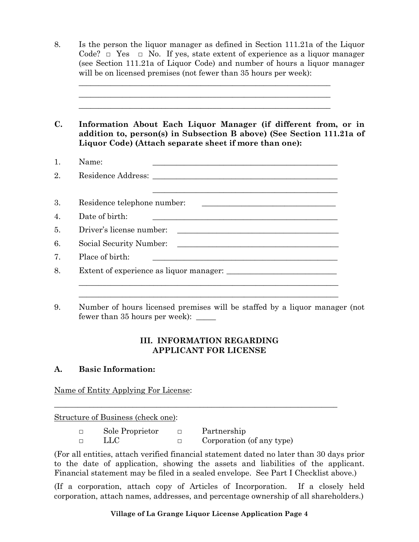| Is the person the liquor manager as defined in Section 111.21a of the Liquor<br>Code? $\Box$ Yes $\Box$ No. If yes, state extent of experience as a liquor manager<br>(see Section 111.21a of Liquor Code) and number of hours a liquor manager<br>will be on licensed premises (not fewer than 35 hours per week): |
|---------------------------------------------------------------------------------------------------------------------------------------------------------------------------------------------------------------------------------------------------------------------------------------------------------------------|
| Information About Each Liquor Manager (if different from, or in<br>addition to, person(s) in Subsection B above) (See Section 111.21a of<br>Liquor Code) (Attach separate sheet if more than one):                                                                                                                  |
| Name:<br><u> 1989 - Andrea Andrew Maria (h. 1989).</u>                                                                                                                                                                                                                                                              |
|                                                                                                                                                                                                                                                                                                                     |
|                                                                                                                                                                                                                                                                                                                     |
| Residence telephone number:                                                                                                                                                                                                                                                                                         |
| Date of birth:<br><u> 1989 - Johann John Harry Harry Harry Harry Harry Harry Harry Harry Harry Harry Harry Harry Harry Harry Harry</u>                                                                                                                                                                              |
| Driver's license number:<br><u> 1980 - Andrea Station, amerikansk politik (d. 1980)</u>                                                                                                                                                                                                                             |
| Social Security Number:<br><u> 1989 - John Stein, Amerikaansk politiker (* 1918)</u>                                                                                                                                                                                                                                |
| Place of birth:<br><u> 1989 - Johann Stoff, deutscher Stoffen und der Stoffen und der Stoffen und der Stoffen und der Stoffen und der</u>                                                                                                                                                                           |

9. Number of hours licensed premises will be staffed by a liquor manager (not fewer than 35 hours per week): \_\_\_\_\_

# **III. INFORMATION REGARDING APPLICANT FOR LICENSE**

# **A. Basic Information:**

Name of Entity Applying For License:

Structure of Business (check one):

| Sole Proprietor | Partnership               |
|-----------------|---------------------------|
| -LLC            | Corporation (of any type) |

\_\_\_\_\_\_\_\_\_\_\_\_\_\_\_\_\_\_\_\_\_\_\_\_\_\_\_\_\_\_\_\_\_\_\_\_\_\_\_\_\_\_\_\_\_\_\_\_\_\_\_\_\_\_\_\_\_\_\_\_\_\_\_\_\_\_\_\_\_\_\_\_

(For all entities, attach verified financial statement dated no later than 30 days prior to the date of application, showing the assets and liabilities of the applicant. Financial statement may be filed in a sealed envelope. See Part I Checklist above.)

(If a corporation, attach copy of Articles of Incorporation. If a closely held corporation, attach names, addresses, and percentage ownership of all shareholders.)

**Village of La Grange Liquor License Application Page 4**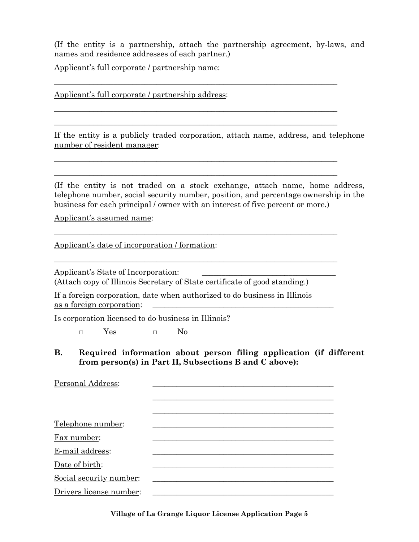(If the entity is a partnership, attach the partnership agreement, by-laws, and names and residence addresses of each partner.)

\_\_\_\_\_\_\_\_\_\_\_\_\_\_\_\_\_\_\_\_\_\_\_\_\_\_\_\_\_\_\_\_\_\_\_\_\_\_\_\_\_\_\_\_\_\_\_\_\_\_\_\_\_\_\_\_\_\_\_\_\_\_\_\_\_\_\_\_\_\_\_\_

\_\_\_\_\_\_\_\_\_\_\_\_\_\_\_\_\_\_\_\_\_\_\_\_\_\_\_\_\_\_\_\_\_\_\_\_\_\_\_\_\_\_\_\_\_\_\_\_\_\_\_\_\_\_\_\_\_\_\_\_\_\_\_\_\_\_\_\_\_\_\_\_ \_\_\_\_\_\_\_\_\_\_\_\_\_\_\_\_\_\_\_\_\_\_\_\_\_\_\_\_\_\_\_\_\_\_\_\_\_\_\_\_\_\_\_\_\_\_\_\_\_\_\_\_\_\_\_\_\_\_\_\_\_\_\_\_\_\_\_\_\_\_\_\_

 $\_$  , and the set of the set of the set of the set of the set of the set of the set of the set of the set of the set of the set of the set of the set of the set of the set of the set of the set of the set of the set of th \_\_\_\_\_\_\_\_\_\_\_\_\_\_\_\_\_\_\_\_\_\_\_\_\_\_\_\_\_\_\_\_\_\_\_\_\_\_\_\_\_\_\_\_\_\_\_\_\_\_\_\_\_\_\_\_\_\_\_\_\_\_\_\_\_\_\_\_\_\_\_\_

 $\_$  , and the set of the set of the set of the set of the set of the set of the set of the set of the set of the set of the set of the set of the set of the set of the set of the set of the set of the set of the set of th

 $\_$  , and the set of the set of the set of the set of the set of the set of the set of the set of the set of the set of the set of the set of the set of the set of the set of the set of the set of the set of the set of th

Applicant's full corporate / partnership name:

Applicant's full corporate / partnership address:

If the entity is a publicly traded corporation, attach name, address, and telephone number of resident manager:

(If the entity is not traded on a stock exchange, attach name, home address, telephone number, social security number, position, and percentage ownership in the business for each principal / owner with an interest of five percent or more.)

Applicant's assumed name:

Applicant's date of incorporation / formation:

Applicant's State of Incorporation: (Attach copy of Illinois Secretary of State certificate of good standing.)

If a foreign corporation, date when authorized to do business in Illinois as a foreign corporation:

Is corporation licensed to do business in Illinois?

□ Yes □ No

**B. Required information about person filing application (if different from person(s) in Part II, Subsections B and C above):**

| Personal Address:       |  |
|-------------------------|--|
|                         |  |
|                         |  |
|                         |  |
| Telephone number:       |  |
| Fax number:             |  |
| E-mail address:         |  |
| Date of birth:          |  |
| Social security number: |  |
| Drivers license number: |  |

**Village of La Grange Liquor License Application Page 5**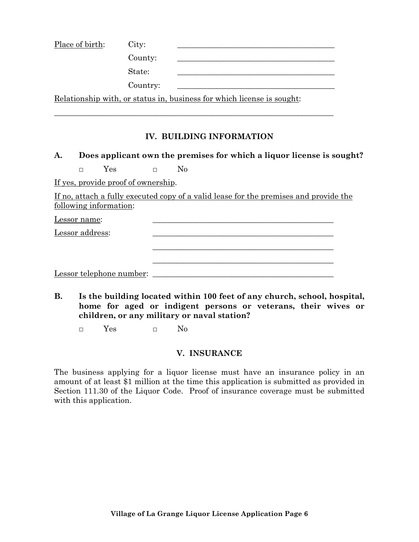| Place of birth: | City:    |                                                                        |
|-----------------|----------|------------------------------------------------------------------------|
|                 | County:  |                                                                        |
|                 | State:   |                                                                        |
|                 | Country: |                                                                        |
|                 |          | Relationship with, or status in, business for which license is sought: |

\_\_\_\_\_\_\_\_\_\_\_\_\_\_\_\_\_\_\_\_\_\_\_\_\_\_\_\_\_\_\_\_\_\_\_\_\_\_\_\_\_\_\_\_\_\_\_\_\_\_\_\_\_\_\_\_\_\_\_\_\_\_\_\_\_\_\_\_\_\_\_

# **IV. BUILDING INFORMATION**

#### **A. Does applicant own the premises for which a liquor license is sought?**

□ Yes □ No

If yes, provide proof of ownership.

If no, attach a fully executed copy of a valid lease for the premises and provide the following information:

 $\overline{\phantom{a}}$  , and the contract of the contract of the contract of the contract of the contract of the contract of the contract of the contract of the contract of the contract of the contract of the contract of the contrac

| _<br>Lessor name: |  |
|-------------------|--|
|                   |  |

Lessor address:

| Lessor telephone number: |  |
|--------------------------|--|
|--------------------------|--|

**B. Is the building located within 100 feet of any church, school, hospital, home for aged or indigent persons or veterans, their wives or children, or any military or naval station?**

\_\_\_\_\_\_\_\_\_\_\_\_\_\_\_\_\_\_\_\_\_\_\_\_\_\_\_\_\_\_\_\_\_\_\_\_\_\_\_\_\_\_\_\_\_\_

□ Yes □ No

#### **V. INSURANCE**

The business applying for a liquor license must have an insurance policy in an amount of at least \$1 million at the time this application is submitted as provided in Section 111.30 of the Liquor Code. Proof of insurance coverage must be submitted with this application.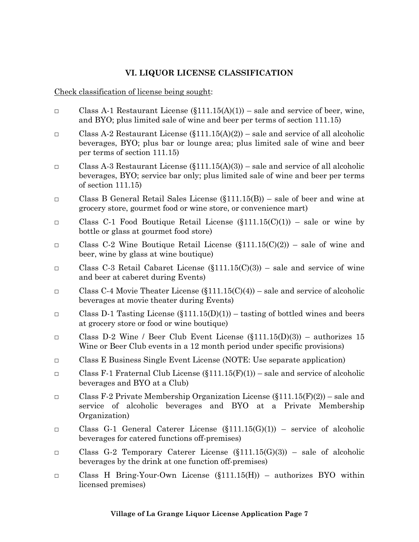## **VI. LIQUOR LICENSE CLASSIFICATION**

Check classification of license being sought:

- □ Class A-1 Restaurant License  $(\S111.15(A)(1))$  sale and service of beer, wine, and BYO; plus limited sale of wine and beer per terms of section 111.15)
- **O** Class A-2 Restaurant License  $(\S111.15(A)(2))$  sale and service of all alcoholic beverages, BYO; plus bar or lounge area; plus limited sale of wine and beer per terms of section 111.15)
- **O** Class A-3 Restaurant License  $(\S111.15(A)(3))$  sale and service of all alcoholic beverages, BYO; service bar only; plus limited sale of wine and beer per terms of section 111.15)
- □ Class B General Retail Sales License (§111.15(B)) sale of beer and wine at grocery store, gourmet food or wine store, or convenience mart)
- □ Class C-1 Food Boutique Retail License  $(\S111.15(C)(1))$  sale or wine by bottle or glass at gourmet food store)
- □ Class C-2 Wine Boutique Retail License  $(\S111.15(C)(2))$  sale of wine and beer, wine by glass at wine boutique)
- □ Class C-3 Retail Cabaret License  $(\S111.15(C)(3))$  sale and service of wine and beer at caberet during Events)
- **O** Class C-4 Movie Theater License  $(\S111.15(C)(4))$  sale and service of alcoholic beverages at movie theater during Events)
- □ Class D-1 Tasting License  $(\S111.15(D)(1))$  tasting of bottled wines and beers at grocery store or food or wine boutique)
- □ Class D-2 Wine / Beer Club Event License  $(\S111.15(D)(3))$  authorizes 15 Wine or Beer Club events in a 12 month period under specific provisions)
- □ Class E Business Single Event License (NOTE: Use separate application)
- □ Class F-1 Fraternal Club License  $(\S111.15(F)(1))$  sale and service of alcoholic beverages and BYO at a Club)
- □ Class F-2 Private Membership Organization License  $(\S111.15(F)(2))$  sale and service of alcoholic beverages and BYO at a Private Membership Organization)
- $\Box$  Class G-1 General Caterer License (§111.15(G)(1)) service of alcoholic beverages for catered functions off-premises)
- $\Box$  Class G-2 Temporary Caterer License (§111.15(G)(3)) sale of alcoholic beverages by the drink at one function off-premises)
- □ Class H Bring-Your-Own License (§111.15(H)) authorizes BYO within licensed premises)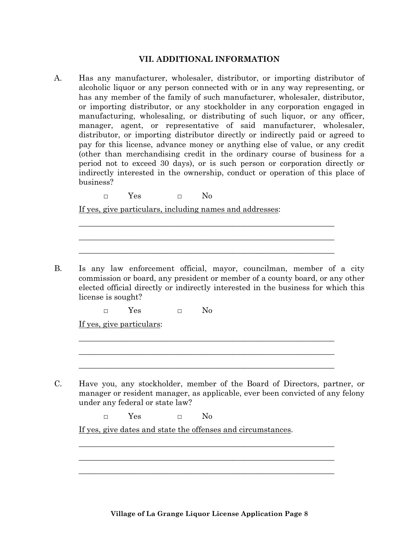#### **VII. ADDITIONAL INFORMATION**

A. Has any manufacturer, wholesaler, distributor, or importing distributor of alcoholic liquor or any person connected with or in any way representing, or has any member of the family of such manufacturer, wholesaler, distributor, or importing distributor, or any stockholder in any corporation engaged in manufacturing, wholesaling, or distributing of such liquor, or any officer, manager, agent, or representative of said manufacturer, wholesaler, distributor, or importing distributor directly or indirectly paid or agreed to pay for this license, advance money or anything else of value, or any credit (other than merchandising credit in the ordinary course of business for a period not to exceed 30 days), or is such person or corporation directly or indirectly interested in the ownership, conduct or operation of this place of business?

□ Yes □ No

If yes, give particulars, including names and addresses:

B. Is any law enforcement official, mayor, councilman, member of a city commission or board, any president or member of a county board, or any other elected official directly or indirectly interested in the business for which this license is sought?

\_\_\_\_\_\_\_\_\_\_\_\_\_\_\_\_\_\_\_\_\_\_\_\_\_\_\_\_\_\_\_\_\_\_\_\_\_\_\_\_\_\_\_\_\_\_\_\_\_\_\_\_\_\_\_\_\_\_\_\_\_\_\_\_\_ \_\_\_\_\_\_\_\_\_\_\_\_\_\_\_\_\_\_\_\_\_\_\_\_\_\_\_\_\_\_\_\_\_\_\_\_\_\_\_\_\_\_\_\_\_\_\_\_\_\_\_\_\_\_\_\_\_\_\_\_\_\_\_\_\_ \_\_\_\_\_\_\_\_\_\_\_\_\_\_\_\_\_\_\_\_\_\_\_\_\_\_\_\_\_\_\_\_\_\_\_\_\_\_\_\_\_\_\_\_\_\_\_\_\_\_\_\_\_\_\_\_\_\_\_\_\_\_\_\_\_

\_\_\_\_\_\_\_\_\_\_\_\_\_\_\_\_\_\_\_\_\_\_\_\_\_\_\_\_\_\_\_\_\_\_\_\_\_\_\_\_\_\_\_\_\_\_\_\_\_\_\_\_\_\_\_\_\_\_\_\_\_\_\_\_\_ \_\_\_\_\_\_\_\_\_\_\_\_\_\_\_\_\_\_\_\_\_\_\_\_\_\_\_\_\_\_\_\_\_\_\_\_\_\_\_\_\_\_\_\_\_\_\_\_\_\_\_\_\_\_\_\_\_\_\_\_\_\_\_\_\_ \_\_\_\_\_\_\_\_\_\_\_\_\_\_\_\_\_\_\_\_\_\_\_\_\_\_\_\_\_\_\_\_\_\_\_\_\_\_\_\_\_\_\_\_\_\_\_\_\_\_\_\_\_\_\_\_\_\_\_\_\_\_\_\_\_

 $\Box$  Yes  $\Box$  No

If yes, give particulars:

C. Have you, any stockholder, member of the Board of Directors, partner, or manager or resident manager, as applicable, ever been convicted of any felony under any federal or state law?

\_\_\_\_\_\_\_\_\_\_\_\_\_\_\_\_\_\_\_\_\_\_\_\_\_\_\_\_\_\_\_\_\_\_\_\_\_\_\_\_\_\_\_\_\_\_\_\_\_\_\_\_\_\_\_\_\_\_\_\_\_\_\_\_\_ \_\_\_\_\_\_\_\_\_\_\_\_\_\_\_\_\_\_\_\_\_\_\_\_\_\_\_\_\_\_\_\_\_\_\_\_\_\_\_\_\_\_\_\_\_\_\_\_\_\_\_\_\_\_\_\_\_\_\_\_\_\_\_\_\_ \_\_\_\_\_\_\_\_\_\_\_\_\_\_\_\_\_\_\_\_\_\_\_\_\_\_\_\_\_\_\_\_\_\_\_\_\_\_\_\_\_\_\_\_\_\_\_\_\_\_\_\_\_\_\_\_\_\_\_\_\_\_\_\_\_

□ Yes □ No

If yes, give dates and state the offenses and circumstances.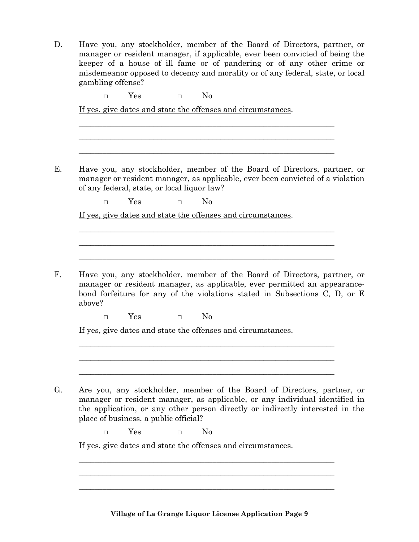D. Have you, any stockholder, member of the Board of Directors, partner, or manager or resident manager, if applicable, ever been convicted of being the keeper of a house of ill fame or of pandering or of any other crime or misdemeanor opposed to decency and morality or of any federal, state, or local gambling offense?

| Have you, any stockholder, member of the Board of Directors, partner, or<br>manager or resident manager, as applicable, ever been convicted of a violation<br>of any federal, state, or local liquor law? |     |        |          |  |  |  |
|-----------------------------------------------------------------------------------------------------------------------------------------------------------------------------------------------------------|-----|--------|----------|--|--|--|
| $\Box$                                                                                                                                                                                                    | Yes | $\Box$ | $\rm No$ |  |  |  |
| If yes, give dates and state the offenses and circumstances.                                                                                                                                              |     |        |          |  |  |  |
|                                                                                                                                                                                                           |     |        |          |  |  |  |
| Have you, any stockholder, member of the Board of Directors, partner, or                                                                                                                                  |     |        |          |  |  |  |
| manager or resident manager, as applicable, ever permitted an appearance-<br>bond forfeiture for any of the violations stated in Subsections C, D, or E<br>above?                                         |     |        |          |  |  |  |

□ Yes □ No

□ Yes □ No

If yes, give dates and state the offenses and circumstances.

G. Are you, any stockholder, member of the Board of Directors, partner, or manager or resident manager, as applicable, or any individual identified in the application, or any other person directly or indirectly interested in the place of business, a public official?

\_\_\_\_\_\_\_\_\_\_\_\_\_\_\_\_\_\_\_\_\_\_\_\_\_\_\_\_\_\_\_\_\_\_\_\_\_\_\_\_\_\_\_\_\_\_\_\_\_\_\_\_\_\_\_\_\_\_\_\_\_\_\_\_\_ \_\_\_\_\_\_\_\_\_\_\_\_\_\_\_\_\_\_\_\_\_\_\_\_\_\_\_\_\_\_\_\_\_\_\_\_\_\_\_\_\_\_\_\_\_\_\_\_\_\_\_\_\_\_\_\_\_\_\_\_\_\_\_\_\_ \_\_\_\_\_\_\_\_\_\_\_\_\_\_\_\_\_\_\_\_\_\_\_\_\_\_\_\_\_\_\_\_\_\_\_\_\_\_\_\_\_\_\_\_\_\_\_\_\_\_\_\_\_\_\_\_\_\_\_\_\_\_\_\_\_

□ Yes □ No

If yes, give dates and state the offenses and circumstances.

**Village of La Grange Liquor License Application Page 9**

\_\_\_\_\_\_\_\_\_\_\_\_\_\_\_\_\_\_\_\_\_\_\_\_\_\_\_\_\_\_\_\_\_\_\_\_\_\_\_\_\_\_\_\_\_\_\_\_\_\_\_\_\_\_\_\_\_\_\_\_\_\_\_\_\_ \_\_\_\_\_\_\_\_\_\_\_\_\_\_\_\_\_\_\_\_\_\_\_\_\_\_\_\_\_\_\_\_\_\_\_\_\_\_\_\_\_\_\_\_\_\_\_\_\_\_\_\_\_\_\_\_\_\_\_\_\_\_\_\_\_ \_\_\_\_\_\_\_\_\_\_\_\_\_\_\_\_\_\_\_\_\_\_\_\_\_\_\_\_\_\_\_\_\_\_\_\_\_\_\_\_\_\_\_\_\_\_\_\_\_\_\_\_\_\_\_\_\_\_\_\_\_\_\_\_\_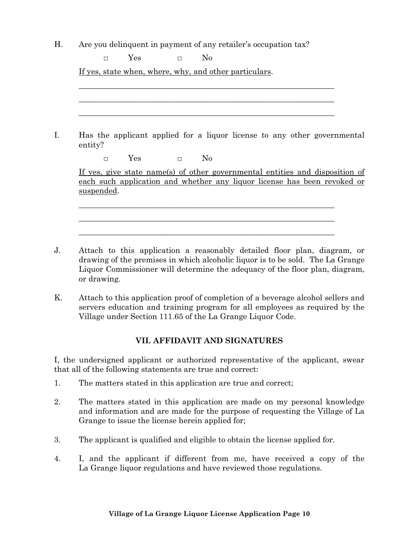H. Are you delinquent in payment of any retailer's occupation tax?

| entity?    |     |                        |          | Has the applicant applied for a liquor license to any other governmental     |                                                                          |
|------------|-----|------------------------|----------|------------------------------------------------------------------------------|--------------------------------------------------------------------------|
| $\Box$     | Yes | <b>Service Control</b> | $\rm No$ |                                                                              |                                                                          |
|            |     |                        |          | If yes, give state name(s) of other governmental entities and disposition of | each such application and whether any liquor license has been revoked or |
|            |     |                        |          |                                                                              |                                                                          |
| suspended. |     |                        |          |                                                                              |                                                                          |

- J. Attach to this application a reasonably detailed floor plan, diagram, or drawing of the premises in which alcoholic liquor is to be sold. The La Grange Liquor Commissioner will determine the adequacy of the floor plan, diagram, or drawing.
- K. Attach to this application proof of completion of a beverage alcohol sellers and servers education and training program for all employees as required by the Village under Section 111.65 of the La Grange Liquor Code.

# **VII. AFFIDAVIT AND SIGNATURES**

I, the undersigned applicant or authorized representative of the applicant, swear that all of the following statements are true and correct:

- 1. The matters stated in this application are true and correct;
- 2. The matters stated in this application are made on my personal knowledge and information and are made for the purpose of requesting the Village of La Grange to issue the license herein applied for;
- 3. The applicant is qualified and eligible to obtain the license applied for.
- 4. I, and the applicant if different from me, have received a copy of the La Grange liquor regulations and have reviewed those regulations.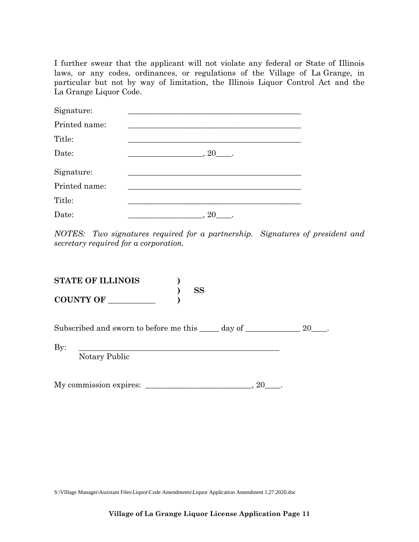I further swear that the applicant will not violate any federal or State of Illinois laws, or any codes, ordinances, or regulations of the Village of La Grange, in particular but not by way of limitation, the Illinois Liquor Control Act and the La Grange Liquor Code.

| Signature:    |                  |
|---------------|------------------|
| Printed name: |                  |
| Title:        |                  |
| Date:         | $\sim$ 20 $\sim$ |
| Signature:    |                  |
| Printed name: |                  |
| Title:        |                  |
| Date:         | , 20             |

*NOTES: Two signatures required for a partnership. Signatures of president and secretary required for a corporation.*

| <b>STATE OF ILLINOIS</b><br><b>SS</b>                       |    |
|-------------------------------------------------------------|----|
| <b>COUNTY OF</b>                                            |    |
| Subscribed and sworn to before me this _____ day of _______ | 20 |
| $\mathbf{By:}$<br>Notary Public                             |    |

My commission expires:  $\frac{1}{20}$ 

S:\VIllage Manager\Assistant Files\Liquor\Code Amendments\Liquor Application Amendment 1.27.2020.doc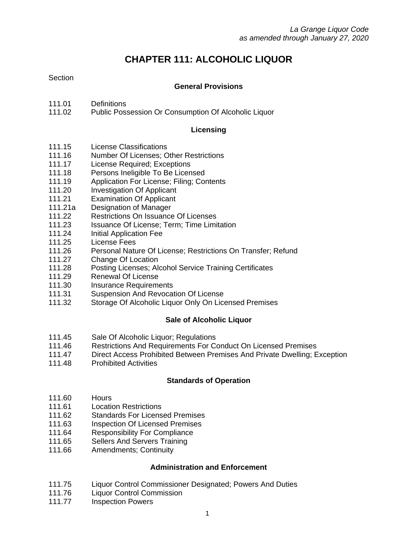# **CHAPTER 111: ALCOHOLIC LIQUOR**

# **Section**

## **General Provisions**

- 111.01 Definitions
- 111.02 Public Possession Or Consumption Of Alcoholic Liquor

#### **Licensing**

- 111.15 License Classifications
- 111.16 Number Of Licenses; Other Restrictions
- 111.17 License Required; Exceptions
- 111.18 Persons Ineligible To Be Licensed
- 111.19 Application For License; Filing; Contents
- 111.20 Investigation Of Applicant
- 111.21 Examination Of Applicant
- 111.21a Designation of Manager
- 111.22 Restrictions On Issuance Of Licenses
- 111.23 Issuance Of License; Term; Time Limitation
- 111.24 Initial Application Fee
- 111.25 License Fees
- 111.26 Personal Nature Of License; Restrictions On Transfer; Refund
- 111.27 Change Of Location
- 111.28 Posting Licenses; Alcohol Service Training Certificates
- 111.29 Renewal Of License
- 111.30 Insurance Requirements
- 111.31 Suspension And Revocation Of License
- 111.32 Storage Of Alcoholic Liquor Only On Licensed Premises

# **Sale of Alcoholic Liquor**

- 111.45 Sale Of Alcoholic Liquor; Regulations
- 111.46 Restrictions And Requirements For Conduct On Licensed Premises
- 111.47 Direct Access Prohibited Between Premises And Private Dwelling; Exception
- 111.48 Prohibited Activities

# **Standards of Operation**

- 111.60 Hours
- 111.61 Location Restrictions
- 111.62 Standards For Licensed Premises
- 111.63 Inspection Of Licensed Premises
- 111.64 Responsibility For Compliance
- 111.65 Sellers And Servers Training
- 111.66 Amendments; Continuity

# **Administration and Enforcement**

- 111.75 Liquor Control Commissioner Designated; Powers And Duties
- 111.76 Liquor Control Commission
- 111.77 **Inspection Powers**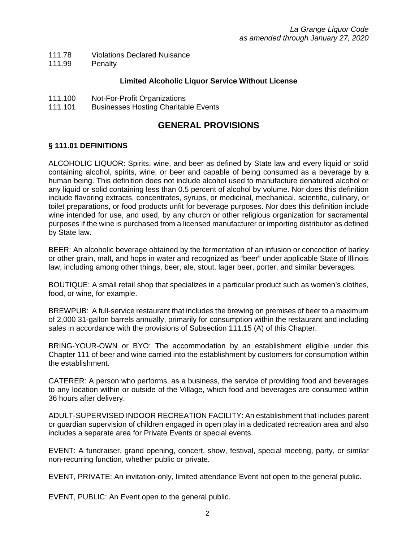- 111.78 Violations Declared Nuisance
- 111.99 Penalty

#### **Limited Alcoholic Liquor Service Without License**

- 111.100 Not-For-Profit Organizations
- 111.101 Businesses Hosting Charitable Events

# **GENERAL PROVISIONS**

## **§ 111.01 DEFINITIONS**

ALCOHOLIC LIQUOR: Spirits, wine, and beer as defined by State law and every liquid or solid containing alcohol, spirits, wine, or beer and capable of being consumed as a beverage by a human being. This definition does not include alcohol used to manufacture denatured alcohol or any liquid or solid containing less than 0.5 percent of alcohol by volume. Nor does this definition include flavoring extracts, concentrates, syrups, or medicinal, mechanical, scientific, culinary, or toilet preparations, or food products unfit for beverage purposes. Nor does this definition include wine intended for use, and used, by any church or other religious organization for sacramental purposes if the wine is purchased from a licensed manufacturer or importing distributor as defined by State law.

BEER: An alcoholic beverage obtained by the fermentation of an infusion or concoction of barley or other grain, malt, and hops in water and recognized as "beer" under applicable State of Illinois law, including among other things, beer, ale, stout, lager beer, porter, and similar beverages.

BOUTIQUE: A small retail shop that specializes in a particular product such as women's clothes, food, or wine, for example.

BREWPUB: A full-service restaurant that includes the brewing on premises of beer to a maximum of 2,000 31-gallon barrels annually, primarily for consumption within the restaurant and including sales in accordance with the provisions of Subsection 111.15 (A) of this Chapter.

BRING-YOUR-OWN or BYO: The accommodation by an establishment eligible under this Chapter 111 of beer and wine carried into the establishment by customers for consumption within the establishment.

CATERER: A person who performs, as a business, the service of providing food and beverages to any location within or outside of the Village, which food and beverages are consumed within 36 hours after delivery.

ADULT-SUPERVISED INDOOR RECREATION FACILITY: An establishment that includes parent or guardian supervision of children engaged in open play in a dedicated recreation area and also includes a separate area for Private Events or special events.

EVENT: A fundraiser, grand opening, concert, show, festival, special meeting, party, or similar non-recurring function, whether public or private.

EVENT, PRIVATE: An invitation-only, limited attendance Event not open to the general public.

EVENT, PUBLIC: An Event open to the general public.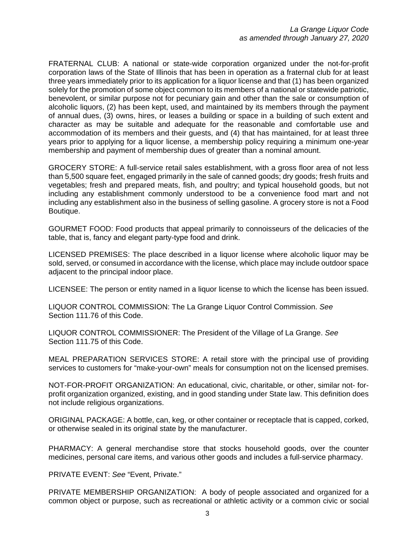FRATERNAL CLUB: A national or state-wide corporation organized under the not-for-profit corporation laws of the State of Illinois that has been in operation as a fraternal club for at least three years immediately prior to its application for a liquor license and that (1) has been organized solely for the promotion of some object common to its members of a national or statewide patriotic, benevolent, or similar purpose not for pecuniary gain and other than the sale or consumption of alcoholic liquors, (2) has been kept, used, and maintained by its members through the payment of annual dues, (3) owns, hires, or leases a building or space in a building of such extent and character as may be suitable and adequate for the reasonable and comfortable use and accommodation of its members and their guests, and (4) that has maintained, for at least three years prior to applying for a liquor license, a membership policy requiring a minimum one-year membership and payment of membership dues of greater than a nominal amount.

GROCERY STORE: A full-service retail sales establishment, with a gross floor area of not less than 5,500 square feet, engaged primarily in the sale of canned goods; dry goods; fresh fruits and vegetables; fresh and prepared meats, fish, and poultry; and typical household goods, but not including any establishment commonly understood to be a convenience food mart and not including any establishment also in the business of selling gasoline. A grocery store is not a Food Boutique.

GOURMET FOOD: Food products that appeal primarily to connoisseurs of the delicacies of the table, that is, fancy and elegant party-type food and drink.

LICENSED PREMISES: The place described in a liquor license where alcoholic liquor may be sold, served, or consumed in accordance with the license, which place may include outdoor space adjacent to the principal indoor place.

LICENSEE: The person or entity named in a liquor license to which the license has been issued.

LIQUOR CONTROL COMMISSION: The La Grange Liquor Control Commission. *See*  Section 111.76 of this Code.

LIQUOR CONTROL COMMISSIONER: The President of the Village of La Grange. *See*  Section 111.75 of this Code.

MEAL PREPARATION SERVICES STORE: A retail store with the principal use of providing services to customers for "make-your-own" meals for consumption not on the licensed premises.

NOT-FOR-PROFIT ORGANIZATION: An educational, civic, charitable, or other, similar not- forprofit organization organized, existing, and in good standing under State law. This definition does not include religious organizations.

ORIGINAL PACKAGE: A bottle, can, keg, or other container or receptacle that is capped, corked, or otherwise sealed in its original state by the manufacturer.

PHARMACY: A general merchandise store that stocks household goods, over the counter medicines, personal care items, and various other goods and includes a full-service pharmacy.

PRIVATE EVENT: *See* "Event, Private."

PRIVATE MEMBERSHIP ORGANIZATION: A body of people associated and organized for a common object or purpose, such as recreational or athletic activity or a common civic or social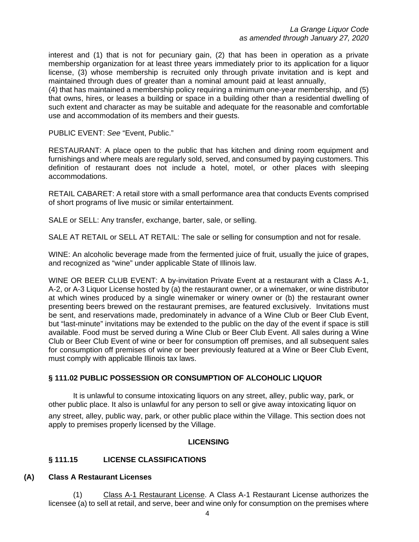interest and (1) that is not for pecuniary gain, (2) that has been in operation as a private membership organization for at least three years immediately prior to its application for a liquor license, (3) whose membership is recruited only through private invitation and is kept and maintained through dues of greater than a nominal amount paid at least annually,

(4) that has maintained a membership policy requiring a minimum one-year membership, and (5) that owns, hires, or leases a building or space in a building other than a residential dwelling of such extent and character as may be suitable and adequate for the reasonable and comfortable use and accommodation of its members and their guests.

PUBLIC EVENT: *See* "Event, Public."

RESTAURANT: A place open to the public that has kitchen and dining room equipment and furnishings and where meals are regularly sold, served, and consumed by paying customers. This definition of restaurant does not include a hotel, motel, or other places with sleeping accommodations.

RETAIL CABARET: A retail store with a small performance area that conducts Events comprised of short programs of live music or similar entertainment.

SALE or SELL: Any transfer, exchange, barter, sale, or selling.

SALE AT RETAIL or SELL AT RETAIL: The sale or selling for consumption and not for resale.

WINE: An alcoholic beverage made from the fermented juice of fruit, usually the juice of grapes, and recognized as "wine" under applicable State of Illinois law.

WINE OR BEER CLUB EVENT: A by-invitation Private Event at a restaurant with a Class A-1, A-2, or A-3 Liquor License hosted by (a) the restaurant owner, or a winemaker, or wine distributor at which wines produced by a single winemaker or winery owner or (b) the restaurant owner presenting beers brewed on the restaurant premises, are featured exclusively. Invitations must be sent, and reservations made, predominately in advance of a Wine Club or Beer Club Event, but "last-minute" invitations may be extended to the public on the day of the event if space is still available. Food must be served during a Wine Club or Beer Club Event. All sales during a Wine Club or Beer Club Event of wine or beer for consumption off premises, and all subsequent sales for consumption off premises of wine or beer previously featured at a Wine or Beer Club Event, must comply with applicable Illinois tax laws.

#### **§ 111.02 PUBLIC POSSESSION OR CONSUMPTION OF ALCOHOLIC LIQUOR**

It is unlawful to consume intoxicating liquors on any street, alley, public way, park, or other public place. It also is unlawful for any person to sell or give away intoxicating liquor on any street, alley, public way, park, or other public place within the Village. This section does not

apply to premises properly licensed by the Village.

#### **LICENSING**

#### **§ 111.15 LICENSE CLASSIFICATIONS**

#### **(A) Class A Restaurant Licenses**

(1) Class A-1 Restaurant License. A Class A-1 Restaurant License authorizes the licensee (a) to sell at retail, and serve, beer and wine only for consumption on the premises where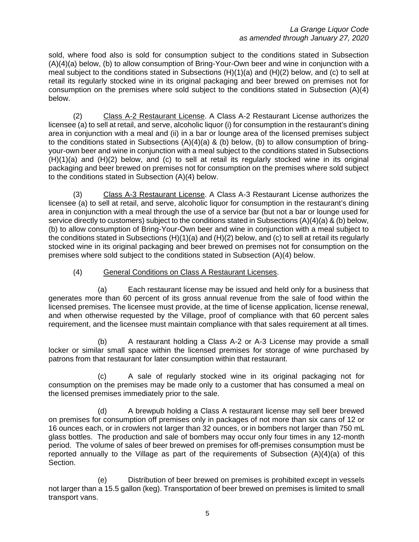sold, where food also is sold for consumption subject to the conditions stated in Subsection (A)(4)(a) below, (b) to allow consumption of Bring-Your-Own beer and wine in conjunction with a meal subject to the conditions stated in Subsections (H)(1)(a) and (H)(2) below, and (c) to sell at retail its regularly stocked wine in its original packaging and beer brewed on premises not for consumption on the premises where sold subject to the conditions stated in Subsection (A)(4) below.

(2) Class A-2 Restaurant License. A Class A-2 Restaurant License authorizes the licensee (a) to sell at retail, and serve, alcoholic liquor (i) for consumption in the restaurant's dining area in conjunction with a meal and (ii) in a bar or lounge area of the licensed premises subject to the conditions stated in Subsections  $(A)(4)(a)$  & (b) below, (b) to allow consumption of bringyour-own beer and wine in conjunction with a meal subject to the conditions stated in Subsections (H)(1)(a) and (H)(2) below, and (c) to sell at retail its regularly stocked wine in its original packaging and beer brewed on premises not for consumption on the premises where sold subject to the conditions stated in Subsection (A)(4) below.

(3) Class A-3 Restaurant License. A Class A-3 Restaurant License authorizes the licensee (a) to sell at retail, and serve, alcoholic liquor for consumption in the restaurant's dining area in conjunction with a meal through the use of a service bar (but not a bar or lounge used for service directly to customers) subject to the conditions stated in Subsections (A)(4)(a) & (b) below, (b) to allow consumption of Bring-Your-Own beer and wine in conjunction with a meal subject to the conditions stated in Subsections  $(H)(1)(a)$  and  $(H)(2)$  below, and (c) to sell at retail its regularly stocked wine in its original packaging and beer brewed on premises not for consumption on the premises where sold subject to the conditions stated in Subsection (A)(4) below.

#### (4) General Conditions on Class A Restaurant Licenses.

(a) Each restaurant license may be issued and held only for a business that generates more than 60 percent of its gross annual revenue from the sale of food within the licensed premises. The licensee must provide, at the time of license application, license renewal, and when otherwise requested by the Village, proof of compliance with that 60 percent sales requirement, and the licensee must maintain compliance with that sales requirement at all times.

(b) A restaurant holding a Class A-2 or A-3 License may provide a small locker or similar small space within the licensed premises for storage of wine purchased by patrons from that restaurant for later consumption within that restaurant.

(c) A sale of regularly stocked wine in its original packaging not for consumption on the premises may be made only to a customer that has consumed a meal on the licensed premises immediately prior to the sale.

(d) A brewpub holding a Class A restaurant license may sell beer brewed on premises for consumption off premises only in packages of not more than six cans of 12 or 16 ounces each, or in crowlers not larger than 32 ounces, or in bombers not larger than 750 mL glass bottles. The production and sale of bombers may occur only four times in any 12-month period. The volume of sales of beer brewed on premises for off-premises consumption must be reported annually to the Village as part of the requirements of Subsection (A)(4)(a) of this Section.

(e) Distribution of beer brewed on premises is prohibited except in vessels not larger than a 15.5 gallon (keg). Transportation of beer brewed on premises is limited to small transport vans.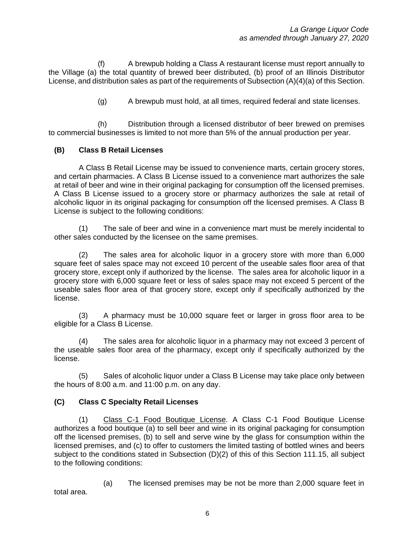(f) A brewpub holding a Class A restaurant license must report annually to the Village (a) the total quantity of brewed beer distributed, (b) proof of an Illinois Distributor License, and distribution sales as part of the requirements of Subsection (A)(4)(a) of this Section.

(g) A brewpub must hold, at all times, required federal and state licenses.

(h) Distribution through a licensed distributor of beer brewed on premises to commercial businesses is limited to not more than 5% of the annual production per year.

#### **(B) Class B Retail Licenses**

A Class B Retail License may be issued to convenience marts, certain grocery stores, and certain pharmacies. A Class B License issued to a convenience mart authorizes the sale at retail of beer and wine in their original packaging for consumption off the licensed premises. A Class B License issued to a grocery store or pharmacy authorizes the sale at retail of alcoholic liquor in its original packaging for consumption off the licensed premises. A Class B License is subject to the following conditions:

(1) The sale of beer and wine in a convenience mart must be merely incidental to other sales conducted by the licensee on the same premises.

(2) The sales area for alcoholic liquor in a grocery store with more than 6,000 square feet of sales space may not exceed 10 percent of the useable sales floor area of that grocery store, except only if authorized by the license. The sales area for alcoholic liquor in a grocery store with 6,000 square feet or less of sales space may not exceed 5 percent of the useable sales floor area of that grocery store, except only if specifically authorized by the license.

(3) A pharmacy must be 10,000 square feet or larger in gross floor area to be eligible for a Class B License.

(4) The sales area for alcoholic liquor in a pharmacy may not exceed 3 percent of the useable sales floor area of the pharmacy, except only if specifically authorized by the license.

(5) Sales of alcoholic liquor under a Class B License may take place only between the hours of 8:00 a.m. and 11:00 p.m. on any day.

#### **(C) Class C Specialty Retail Licenses**

(1) Class C-1 Food Boutique License. A Class C-1 Food Boutique License authorizes a food boutique (a) to sell beer and wine in its original packaging for consumption off the licensed premises, (b) to sell and serve wine by the glass for consumption within the licensed premises, and (c) to offer to customers the limited tasting of bottled wines and beers subject to the conditions stated in Subsection  $(D)(2)$  of this of this Section 111.15, all subject to the following conditions:

(a) The licensed premises may be not be more than 2,000 square feet in total area.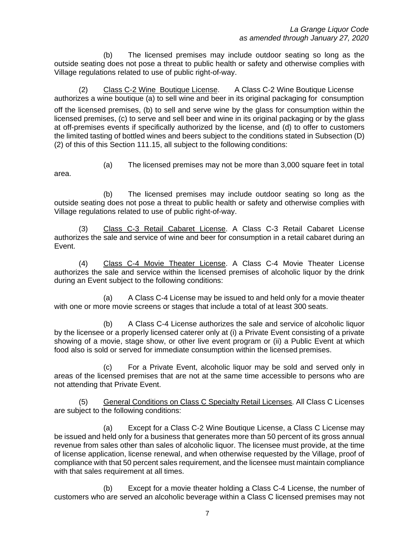(b) The licensed premises may include outdoor seating so long as the outside seating does not pose a threat to public health or safety and otherwise complies with Village regulations related to use of public right-of-way.

(2) Class C-2 Wine Boutique License. A Class C-2 Wine Boutique License authorizes a wine boutique (a) to sell wine and beer in its original packaging for consumption off the licensed premises, (b) to sell and serve wine by the glass for consumption within the licensed premises, (c) to serve and sell beer and wine in its original packaging or by the glass at off-premises events if specifically authorized by the license, and (d) to offer to customers the limited tasting of bottled wines and beers subject to the conditions stated in Subsection (D) (2) of this of this Section 111.15, all subject to the following conditions:

(a) The licensed premises may not be more than 3,000 square feet in total area.

(b) The licensed premises may include outdoor seating so long as the outside seating does not pose a threat to public health or safety and otherwise complies with Village regulations related to use of public right-of-way.

(3) Class C-3 Retail Cabaret License. A Class C-3 Retail Cabaret License authorizes the sale and service of wine and beer for consumption in a retail cabaret during an Event.

(4) Class C-4 Movie Theater License. A Class C-4 Movie Theater License authorizes the sale and service within the licensed premises of alcoholic liquor by the drink during an Event subject to the following conditions:

(a) A Class C-4 License may be issued to and held only for a movie theater with one or more movie screens or stages that include a total of at least 300 seats.

(b) A Class C-4 License authorizes the sale and service of alcoholic liquor by the licensee or a properly licensed caterer only at (i) a Private Event consisting of a private showing of a movie, stage show, or other live event program or (ii) a Public Event at which food also is sold or served for immediate consumption within the licensed premises.

(c) For a Private Event, alcoholic liquor may be sold and served only in areas of the licensed premises that are not at the same time accessible to persons who are not attending that Private Event.

(5) General Conditions on Class C Specialty Retail Licenses. All Class C Licenses are subject to the following conditions:

(a) Except for a Class C-2 Wine Boutique License, a Class C License may be issued and held only for a business that generates more than 50 percent of its gross annual revenue from sales other than sales of alcoholic liquor. The licensee must provide, at the time of license application, license renewal, and when otherwise requested by the Village, proof of compliance with that 50 percent sales requirement, and the licensee must maintain compliance with that sales requirement at all times.

(b) Except for a movie theater holding a Class C-4 License, the number of customers who are served an alcoholic beverage within a Class C licensed premises may not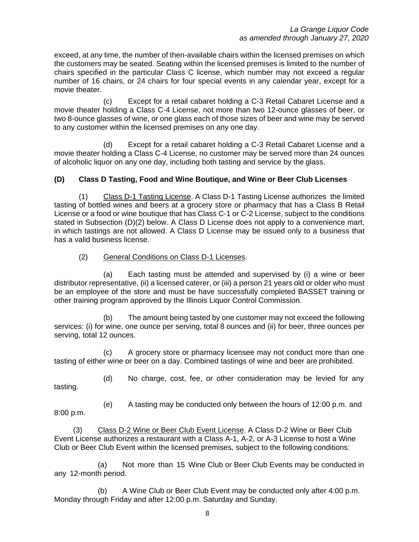exceed, at any time, the number of then-available chairs within the licensed premises on which the customers may be seated. Seating within the licensed premises is limited to the number of chairs specified in the particular Class C license, which number may not exceed a regular number of 16 chairs, or 24 chairs for four special events in any calendar year, except for a movie theater.

(c) Except for a retail cabaret holding a C-3 Retail Cabaret License and a movie theater holding a Class C-4 License, not more than two 12-ounce glasses of beer, or two 8-ounce glasses of wine, or one glass each of those sizes of beer and wine may be served to any customer within the licensed premises on any one day.

(d) Except for a retail cabaret holding a C-3 Retail Cabaret License and a movie theater holding a Class C-4 License, no customer may be served more than 24 ounces of alcoholic liquor on any one day, including both tasting and service by the glass.

## **(D) Class D Tasting, Food and Wine Boutique, and Wine or Beer Club Licenses**

(1) Class D-1 Tasting License. A Class D-1 Tasting License authorizes the limited tasting of bottled wines and beers at a grocery store or pharmacy that has a Class B Retail License or a food or wine boutique that has Class C-1 or C-2 License, subject to the conditions stated in Subsection (D)(2) below. A Class D License does not apply to a convenience mart, in which tastings are not allowed. A Class D License may be issued only to a business that has a valid business license.

## (2) General Conditions on Class D-1 Licenses.

(a) Each tasting must be attended and supervised by (i) a wine or beer distributor representative, (ii) a licensed caterer, or (iii) a person 21 years old or older who must be an employee of the store and must be have successfully completed BASSET training or other training program approved by the Illinois Liquor Control Commission.

(b) The amount being tasted by one customer may not exceed the following services: (i) for wine, one ounce per serving, total 8 ounces and (ii) for beer, three ounces per serving, total 12 ounces.

(c) A grocery store or pharmacy licensee may not conduct more than one tasting of either wine or beer on a day. Combined tastings of wine and beer are prohibited.

(d) No charge, cost, fee, or other consideration may be levied for any

tasting.

(e) A tasting may be conducted only between the hours of 12:00 p.m. and 8:00 p.m.

 (3) Class D-2 Wine or Beer Club Event License. A Class D-2 Wine or Beer Club Event License authorizes a restaurant with a Class A-1, A-2, or A-3 License to host a Wine Club or Beer Club Event within the licensed premises, subject to the following conditions:

 (a) Not more than 15 Wine Club or Beer Club Events may be conducted in any 12-month period.

 (b) A Wine Club or Beer Club Event may be conducted only after 4:00 p.m. Monday through Friday and after 12:00 p.m. Saturday and Sunday.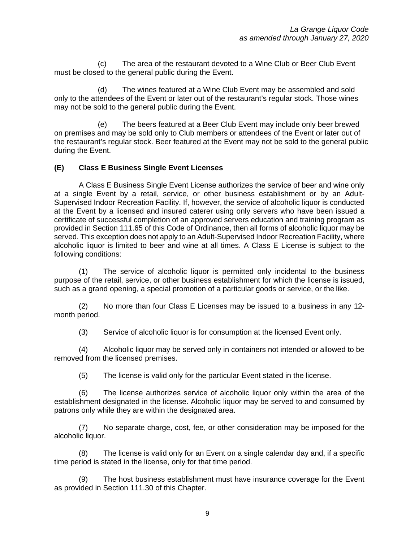(c) The area of the restaurant devoted to a Wine Club or Beer Club Event must be closed to the general public during the Event.

 (d) The wines featured at a Wine Club Event may be assembled and sold only to the attendees of the Event or later out of the restaurant's regular stock. Those wines may not be sold to the general public during the Event.

 (e) The beers featured at a Beer Club Event may include only beer brewed on premises and may be sold only to Club members or attendees of the Event or later out of the restaurant's regular stock. Beer featured at the Event may not be sold to the general public during the Event.

## **(E) Class E Business Single Event Licenses**

A Class E Business Single Event License authorizes the service of beer and wine only at a single Event by a retail, service, or other business establishment or by an Adult-Supervised Indoor Recreation Facility. If, however, the service of alcoholic liquor is conducted at the Event by a licensed and insured caterer using only servers who have been issued a certificate of successful completion of an approved servers education and training program as provided in Section 111.65 of this Code of Ordinance, then all forms of alcoholic liquor may be served. This exception does not apply to an Adult-Supervised Indoor Recreation Facility, where alcoholic liquor is limited to beer and wine at all times. A Class E License is subject to the following conditions:

(1) The service of alcoholic liquor is permitted only incidental to the business purpose of the retail, service, or other business establishment for which the license is issued, such as a grand opening, a special promotion of a particular goods or service, or the like.

(2) No more than four Class E Licenses may be issued to a business in any 12 month period.

(3) Service of alcoholic liquor is for consumption at the licensed Event only.

(4) Alcoholic liquor may be served only in containers not intended or allowed to be removed from the licensed premises.

(5) The license is valid only for the particular Event stated in the license.

(6) The license authorizes service of alcoholic liquor only within the area of the establishment designated in the license. Alcoholic liquor may be served to and consumed by patrons only while they are within the designated area.

(7) No separate charge, cost, fee, or other consideration may be imposed for the alcoholic liquor.

(8) The license is valid only for an Event on a single calendar day and, if a specific time period is stated in the license, only for that time period.

(9) The host business establishment must have insurance coverage for the Event as provided in Section 111.30 of this Chapter.

9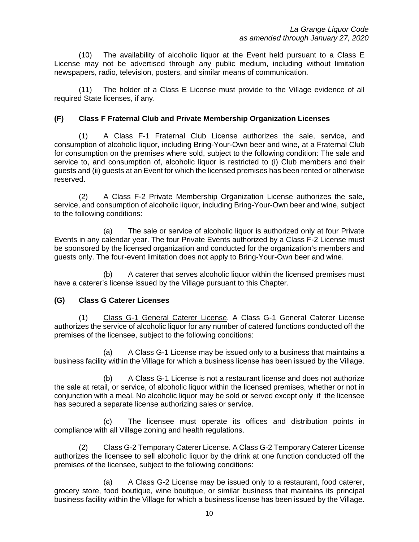(10) The availability of alcoholic liquor at the Event held pursuant to a Class E License may not be advertised through any public medium, including without limitation newspapers, radio, television, posters, and similar means of communication.

(11) The holder of a Class E License must provide to the Village evidence of all required State licenses, if any.

#### **(F) Class F Fraternal Club and Private Membership Organization Licenses**

(1) A Class F-1 Fraternal Club License authorizes the sale, service, and consumption of alcoholic liquor, including Bring-Your-Own beer and wine, at a Fraternal Club for consumption on the premises where sold, subject to the following condition: The sale and service to, and consumption of, alcoholic liquor is restricted to (i) Club members and their guests and (ii) guests at an Event for which the licensed premises has been rented or otherwise reserved.

(2) A Class F-2 Private Membership Organization License authorizes the sale, service, and consumption of alcoholic liquor, including Bring-Your-Own beer and wine, subject to the following conditions:

(a) The sale or service of alcoholic liquor is authorized only at four Private Events in any calendar year. The four Private Events authorized by a Class F-2 License must be sponsored by the licensed organization and conducted for the organization's members and guests only. The four-event limitation does not apply to Bring-Your-Own beer and wine.

(b) A caterer that serves alcoholic liquor within the licensed premises must have a caterer's license issued by the Village pursuant to this Chapter.

#### **(G) Class G Caterer Licenses**

(1) Class G-1 General Caterer License. A Class G-1 General Caterer License authorizes the service of alcoholic liquor for any number of catered functions conducted off the premises of the licensee, subject to the following conditions:

(a) A Class G-1 License may be issued only to a business that maintains a business facility within the Village for which a business license has been issued by the Village.

(b) A Class G-1 License is not a restaurant license and does not authorize the sale at retail, or service, of alcoholic liquor within the licensed premises, whether or not in conjunction with a meal. No alcoholic liquor may be sold or served except only if the licensee has secured a separate license authorizing sales or service.

(c) The licensee must operate its offices and distribution points in compliance with all Village zoning and health regulations.

(2) Class G-2 Temporary Caterer License. A Class G-2 Temporary Caterer License authorizes the licensee to sell alcoholic liquor by the drink at one function conducted off the premises of the licensee, subject to the following conditions:

(a) A Class G-2 License may be issued only to a restaurant, food caterer, grocery store, food boutique, wine boutique, or similar business that maintains its principal business facility within the Village for which a business license has been issued by the Village.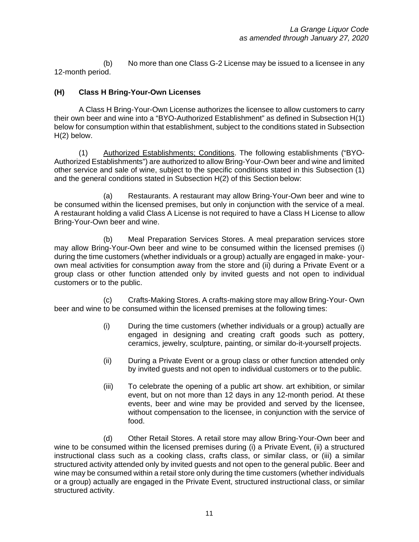(b) No more than one Class G-2 License may be issued to a licensee in any 12-month period.

# **(H) Class H Bring-Your-Own Licenses**

A Class H Bring-Your-Own License authorizes the licensee to allow customers to carry their own beer and wine into a "BYO-Authorized Establishment" as defined in Subsection H(1) below for consumption within that establishment, subject to the conditions stated in Subsection H(2) below.

(1) Authorized Establishments; Conditions. The following establishments ("BYO-Authorized Establishments") are authorized to allow Bring-Your-Own beer and wine and limited other service and sale of wine, subject to the specific conditions stated in this Subsection (1) and the general conditions stated in Subsection H(2) of this Section below:

(a) Restaurants. A restaurant may allow Bring-Your-Own beer and wine to be consumed within the licensed premises, but only in conjunction with the service of a meal. A restaurant holding a valid Class A License is not required to have a Class H License to allow Bring-Your-Own beer and wine.

(b) Meal Preparation Services Stores. A meal preparation services store may allow Bring-Your-Own beer and wine to be consumed within the licensed premises (i) during the time customers (whether individuals or a group) actually are engaged in make- yourown meal activities for consumption away from the store and (ii) during a Private Event or a group class or other function attended only by invited guests and not open to individual customers or to the public.

(c) Crafts-Making Stores. A crafts-making store may allow Bring-Your- Own beer and wine to be consumed within the licensed premises at the following times:

- (i) During the time customers (whether individuals or a group) actually are engaged in designing and creating craft goods such as pottery, ceramics, jewelry, sculpture, painting, or similar do-it-yourself projects.
- (ii) During a Private Event or a group class or other function attended only by invited guests and not open to individual customers or to the public.
- (iii) To celebrate the opening of a public art show. art exhibition, or similar event, but on not more than 12 days in any 12-month period. At these events, beer and wine may be provided and served by the licensee, without compensation to the licensee, in conjunction with the service of food.

(d) Other Retail Stores. A retail store may allow Bring-Your-Own beer and wine to be consumed within the licensed premises during (i) a Private Event, (ii) a structured instructional class such as a cooking class, crafts class, or similar class, or (iii) a similar structured activity attended only by invited guests and not open to the general public. Beer and wine may be consumed within a retail store only during the time customers (whether individuals or a group) actually are engaged in the Private Event, structured instructional class, or similar structured activity.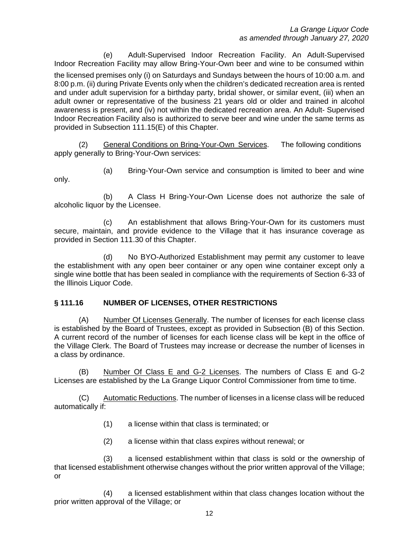(e) Adult-Supervised Indoor Recreation Facility. An Adult-Supervised Indoor Recreation Facility may allow Bring-Your-Own beer and wine to be consumed within

the licensed premises only (i) on Saturdays and Sundays between the hours of 10:00 a.m. and 8:00 p.m. (ii) during Private Events only when the children's dedicated recreation area is rented and under adult supervision for a birthday party, bridal shower, or similar event, (iii) when an adult owner or representative of the business 21 years old or older and trained in alcohol awareness is present, and (iv) not within the dedicated recreation area. An Adult- Supervised Indoor Recreation Facility also is authorized to serve beer and wine under the same terms as provided in Subsection 111.15(E) of this Chapter.

(2) General Conditions on Bring-Your-Own Services. The following conditions apply generally to Bring-Your-Own services:

(a) Bring-Your-Own service and consumption is limited to beer and wine only.

(b) A Class H Bring-Your-Own License does not authorize the sale of alcoholic liquor by the Licensee.

(c) An establishment that allows Bring-Your-Own for its customers must secure, maintain, and provide evidence to the Village that it has insurance coverage as provided in Section 111.30 of this Chapter.

(d) No BYO-Authorized Establishment may permit any customer to leave the establishment with any open beer container or any open wine container except only a single wine bottle that has been sealed in compliance with the requirements of Section 6-33 of the Illinois Liquor Code.

# **§ 111.16 NUMBER OF LICENSES, OTHER RESTRICTIONS**

(A) Number Of Licenses Generally. The number of licenses for each license class is established by the Board of Trustees, except as provided in Subsection (B) of this Section. A current record of the number of licenses for each license class will be kept in the office of the Village Clerk. The Board of Trustees may increase or decrease the number of licenses in a class by ordinance.

(B) Number Of Class E and G-2 Licenses. The numbers of Class E and G-2 Licenses are established by the La Grange Liquor Control Commissioner from time to time.

(C) Automatic Reductions. The number of licenses in a license class will be reduced automatically if:

- (1) a license within that class is terminated; or
- (2) a license within that class expires without renewal; or

(3) a licensed establishment within that class is sold or the ownership of that licensed establishment otherwise changes without the prior written approval of the Village; or

(4) a licensed establishment within that class changes location without the prior written approval of the Village; or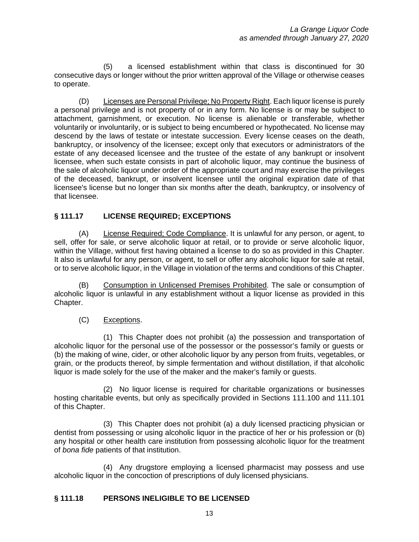(5) a licensed establishment within that class is discontinued for 30 consecutive days or longer without the prior written approval of the Village or otherwise ceases to operate.

(D) Licenses are Personal Privilege; No Property Right. Each liquor license is purely a personal privilege and is not property of or in any form. No license is or may be subject to attachment, garnishment, or execution. No license is alienable or transferable, whether voluntarily or involuntarily, or is subject to being encumbered or hypothecated. No license may descend by the laws of testate or intestate succession. Every license ceases on the death, bankruptcy, or insolvency of the licensee; except only that executors or administrators of the estate of any deceased licensee and the trustee of the estate of any bankrupt or insolvent licensee, when such estate consists in part of alcoholic liquor, may continue the business of the sale of alcoholic liquor under order of the appropriate court and may exercise the privileges of the deceased, bankrupt, or insolvent licensee until the original expiration date of that licensee's license but no longer than six months after the death, bankruptcy, or insolvency of that licensee.

# **§ 111.17 LICENSE REQUIRED; EXCEPTIONS**

(A) License Required; Code Compliance. It is unlawful for any person, or agent, to sell, offer for sale, or serve alcoholic liquor at retail, or to provide or serve alcoholic liquor, within the Village, without first having obtained a license to do so as provided in this Chapter. It also is unlawful for any person, or agent, to sell or offer any alcoholic liquor for sale at retail, or to serve alcoholic liquor, in the Village in violation of the terms and conditions of this Chapter.

(B) Consumption in Unlicensed Premises Prohibited. The sale or consumption of alcoholic liquor is unlawful in any establishment without a liquor license as provided in this Chapter.

# (C) Exceptions.

(1) This Chapter does not prohibit (a) the possession and transportation of alcoholic liquor for the personal use of the possessor or the possessor's family or guests or (b) the making of wine, cider, or other alcoholic liquor by any person from fruits, vegetables, or grain, or the products thereof, by simple fermentation and without distillation, if that alcoholic liquor is made solely for the use of the maker and the maker's family or guests.

(2) No liquor license is required for charitable organizations or businesses hosting charitable events, but only as specifically provided in Sections 111.100 and 111.101 of this Chapter.

(3) This Chapter does not prohibit (a) a duly licensed practicing physician or dentist from possessing or using alcoholic liquor in the practice of her or his profession or (b) any hospital or other health care institution from possessing alcoholic liquor for the treatment of *bona fide* patients of that institution.

(4) Any drugstore employing a licensed pharmacist may possess and use alcoholic liquor in the concoction of prescriptions of duly licensed physicians.

# **§ 111.18 PERSONS INELIGIBLE TO BE LICENSED**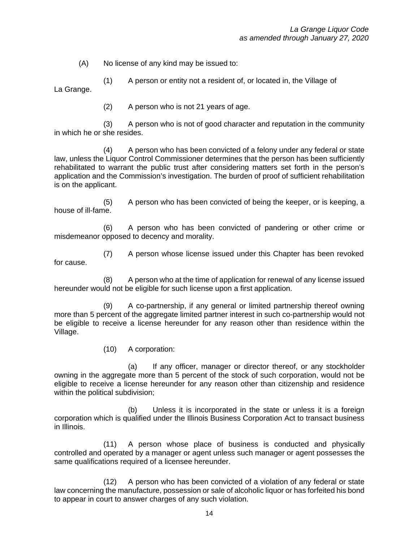(A) No license of any kind may be issued to:

(1) A person or entity not a resident of, or located in, the Village of La Grange.

(2) A person who is not 21 years of age.

(3) A person who is not of good character and reputation in the community in which he or she resides.

(4) A person who has been convicted of a felony under any federal or state law, unless the Liquor Control Commissioner determines that the person has been sufficiently rehabilitated to warrant the public trust after considering matters set forth in the person's application and the Commission's investigation. The burden of proof of sufficient rehabilitation is on the applicant.

(5) A person who has been convicted of being the keeper, or is keeping, a house of ill-fame.

(6) A person who has been convicted of pandering or other crime or misdemeanor opposed to decency and morality.

(7) A person whose license issued under this Chapter has been revoked for cause.

(8) A person who at the time of application for renewal of any license issued hereunder would not be eligible for such license upon a first application.

(9) A co-partnership, if any general or limited partnership thereof owning more than 5 percent of the aggregate limited partner interest in such co-partnership would not be eligible to receive a license hereunder for any reason other than residence within the Village.

(10) A corporation:

(a) If any officer, manager or director thereof, or any stockholder owning in the aggregate more than 5 percent of the stock of such corporation, would not be eligible to receive a license hereunder for any reason other than citizenship and residence within the political subdivision;

(b) Unless it is incorporated in the state or unless it is a foreign corporation which is qualified under the Illinois Business Corporation Act to transact business in Illinois.

(11) A person whose place of business is conducted and physically controlled and operated by a manager or agent unless such manager or agent possesses the same qualifications required of a licensee hereunder.

(12) A person who has been convicted of a violation of any federal or state law concerning the manufacture, possession or sale of alcoholic liquor or has forfeited his bond to appear in court to answer charges of any such violation.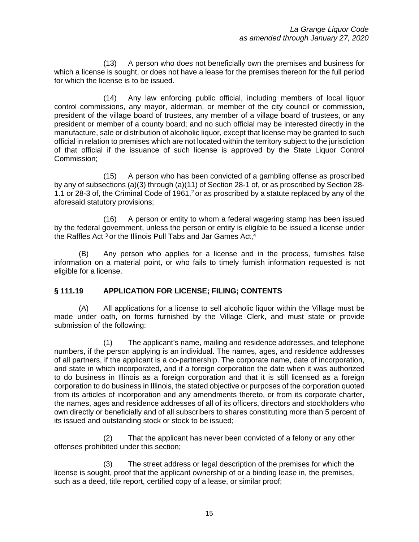(13) A person who does not beneficially own the premises and business for which a license is sought, or does not have a lease for the premises thereon for the full period for which the license is to be issued.

(14) Any law enforcing public official, including members of local liquor control commissions, any mayor, alderman, or member of the city council or commission, president of the village board of trustees, any member of a village board of trustees, or any president or member of a county board; and no such official may be interested directly in the manufacture, sale or distribution of alcoholic liquor, except that license may be granted to such official in relation to premises which are not located within the territory subject to the jurisdiction of that official if the issuance of such license is approved by the State Liquor Control Commission;

(15) A person who has been convicted of a gambling offense as proscribed by any of subsections (a)(3) through (a)(11) of Section 28-1 of, or as proscribed by Section 28- 1.1 or 28-3 of, the Criminal Code of 1961,<sup>2</sup> or as proscribed by a statute replaced by any of the aforesaid statutory provisions;

(16) A person or entity to whom a federal wagering stamp has been issued by the federal government, unless the person or entity is eligible to be issued a license under the Raffles Act  $3$  or the Illinois Pull Tabs and Jar Games Act,  $4$ 

(B) Any person who applies for a license and in the process, furnishes false information on a material point, or who fails to timely furnish information requested is not eligible for a license.

#### **§ 111.19 APPLICATION FOR LICENSE; FILING; CONTENTS**

(A) All applications for a license to sell alcoholic liquor within the Village must be made under oath, on forms furnished by the Village Clerk, and must state or provide submission of the following:

(1) The applicant's name, mailing and residence addresses, and telephone numbers, if the person applying is an individual. The names, ages, and residence addresses of all partners, if the applicant is a co-partnership. The corporate name, date of incorporation, and state in which incorporated, and if a foreign corporation the date when it was authorized to do business in Illinois as a foreign corporation and that it is still licensed as a foreign corporation to do business in Illinois, the stated objective or purposes of the corporation quoted from its articles of incorporation and any amendments thereto, or from its corporate charter, the names, ages and residence addresses of all of its officers, directors and stockholders who own directly or beneficially and of all subscribers to shares constituting more than 5 percent of its issued and outstanding stock or stock to be issued;

(2) That the applicant has never been convicted of a felony or any other offenses prohibited under this section;

(3) The street address or legal description of the premises for which the license is sought, proof that the applicant ownership of or a binding lease in, the premises, such as a deed, title report, certified copy of a lease, or similar proof;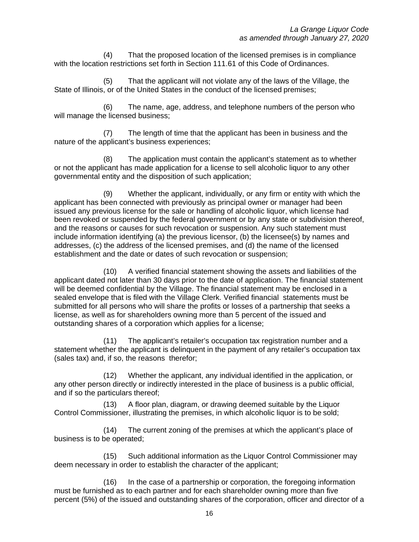(4) That the proposed location of the licensed premises is in compliance with the location restrictions set forth in Section 111.61 of this Code of Ordinances.

(5) That the applicant will not violate any of the laws of the Village, the State of Illinois, or of the United States in the conduct of the licensed premises;

(6) The name, age, address, and telephone numbers of the person who will manage the licensed business;

(7) The length of time that the applicant has been in business and the nature of the applicant's business experiences;

(8) The application must contain the applicant's statement as to whether or not the applicant has made application for a license to sell alcoholic liquor to any other governmental entity and the disposition of such application;

(9) Whether the applicant, individually, or any firm or entity with which the applicant has been connected with previously as principal owner or manager had been issued any previous license for the sale or handling of alcoholic liquor, which license had been revoked or suspended by the federal government or by any state or subdivision thereof, and the reasons or causes for such revocation or suspension. Any such statement must include information identifying (a) the previous licensor, (b) the licensee(s) by names and addresses, (c) the address of the licensed premises, and (d) the name of the licensed establishment and the date or dates of such revocation or suspension;

(10) A verified financial statement showing the assets and liabilities of the applicant dated not later than 30 days prior to the date of application. The financial statement will be deemed confidential by the Village. The financial statement may be enclosed in a sealed envelope that is filed with the Village Clerk. Verified financial statements must be submitted for all persons who will share the profits or losses of a partnership that seeks a license, as well as for shareholders owning more than 5 percent of the issued and outstanding shares of a corporation which applies for a license;

(11) The applicant's retailer's occupation tax registration number and a statement whether the applicant is delinquent in the payment of any retailer's occupation tax (sales tax) and, if so, the reasons therefor;

(12) Whether the applicant, any individual identified in the application, or any other person directly or indirectly interested in the place of business is a public official, and if so the particulars thereof;

(13) A floor plan, diagram, or drawing deemed suitable by the Liquor Control Commissioner, illustrating the premises, in which alcoholic liquor is to be sold;

(14) The current zoning of the premises at which the applicant's place of business is to be operated;

(15) Such additional information as the Liquor Control Commissioner may deem necessary in order to establish the character of the applicant;

(16) In the case of a partnership or corporation, the foregoing information must be furnished as to each partner and for each shareholder owning more than five percent (5%) of the issued and outstanding shares of the corporation, officer and director of a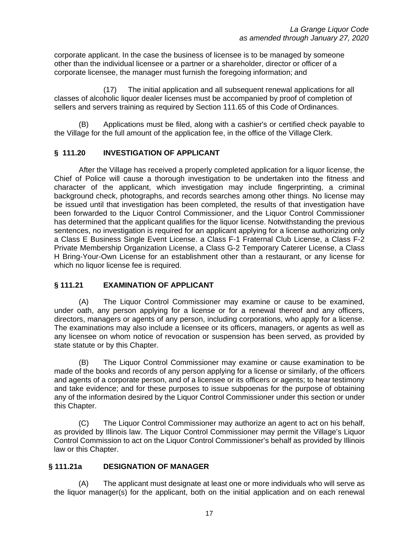corporate applicant. In the case the business of licensee is to be managed by someone other than the individual licensee or a partner or a shareholder, director or officer of a corporate licensee, the manager must furnish the foregoing information; and

(17) The initial application and all subsequent renewal applications for all classes of alcoholic liquor dealer licenses must be accompanied by proof of completion of sellers and servers training as required by Section 111.65 of this Code of Ordinances.

(B) Applications must be filed, along with a cashier's or certified check payable to the Village for the full amount of the application fee, in the office of the Village Clerk.

#### **§ 111.20 INVESTIGATION OF APPLICANT**

After the Village has received a properly completed application for a liquor license, the Chief of Police will cause a thorough investigation to be undertaken into the fitness and character of the applicant, which investigation may include fingerprinting, a criminal background check, photographs, and records searches among other things. No license may be issued until that investigation has been completed, the results of that investigation have been forwarded to the Liquor Control Commissioner, and the Liquor Control Commissioner has determined that the applicant qualifies for the liquor license. Notwithstanding the previous sentences, no investigation is required for an applicant applying for a license authorizing only a Class E Business Single Event License. a Class F-1 Fraternal Club License, a Class F-2 Private Membership Organization License, a Class G-2 Temporary Caterer License, a Class H Bring-Your-Own License for an establishment other than a restaurant, or any license for which no liquor license fee is required.

#### **§ 111.21 EXAMINATION OF APPLICANT**

(A) The Liquor Control Commissioner may examine or cause to be examined, under oath, any person applying for a license or for a renewal thereof and any officers, directors, managers or agents of any person, including corporations, who apply for a license. The examinations may also include a licensee or its officers, managers, or agents as well as any licensee on whom notice of revocation or suspension has been served, as provided by state statute or by this Chapter.

(B) The Liquor Control Commissioner may examine or cause examination to be made of the books and records of any person applying for a license or similarly, of the officers and agents of a corporate person, and of a licensee or its officers or agents; to hear testimony and take evidence; and for these purposes to issue subpoenas for the purpose of obtaining any of the information desired by the Liquor Control Commissioner under this section or under this Chapter.

(C) The Liquor Control Commissioner may authorize an agent to act on his behalf, as provided by Illinois law. The Liquor Control Commissioner may permit the Village's Liquor Control Commission to act on the Liquor Control Commissioner's behalf as provided by Illinois law or this Chapter.

#### **§ 111.21a DESIGNATION OF MANAGER**

(A) The applicant must designate at least one or more individuals who will serve as the liquor manager(s) for the applicant, both on the initial application and on each renewal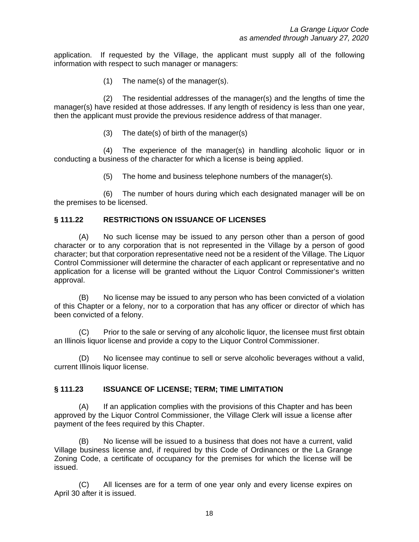application. If requested by the Village, the applicant must supply all of the following information with respect to such manager or managers:

(1) The name(s) of the manager(s).

 (2) The residential addresses of the manager(s) and the lengths of time the manager(s) have resided at those addresses. If any length of residency is less than one year, then the applicant must provide the previous residence address of that manager.

(3) The date(s) of birth of the manager(s)

 (4) The experience of the manager(s) in handling alcoholic liquor or in conducting a business of the character for which a license is being applied.

(5) The home and business telephone numbers of the manager(s).

 (6) The number of hours during which each designated manager will be on the premises to be licensed.

#### **§ 111.22 RESTRICTIONS ON ISSUANCE OF LICENSES**

(A) No such license may be issued to any person other than a person of good character or to any corporation that is not represented in the Village by a person of good character; but that corporation representative need not be a resident of the Village. The Liquor Control Commissioner will determine the character of each applicant or representative and no application for a license will be granted without the Liquor Control Commissioner's written approval.

(B) No license may be issued to any person who has been convicted of a violation of this Chapter or a felony, nor to a corporation that has any officer or director of which has been convicted of a felony.

(C) Prior to the sale or serving of any alcoholic liquor, the licensee must first obtain an Illinois liquor license and provide a copy to the Liquor Control Commissioner.

(D) No licensee may continue to sell or serve alcoholic beverages without a valid, current Illinois liquor license.

#### **§ 111.23 ISSUANCE OF LICENSE; TERM; TIME LIMITATION**

(A) If an application complies with the provisions of this Chapter and has been approved by the Liquor Control Commissioner, the Village Clerk will issue a license after payment of the fees required by this Chapter.

(B) No license will be issued to a business that does not have a current, valid Village business license and, if required by this Code of Ordinances or the La Grange Zoning Code, a certificate of occupancy for the premises for which the license will be issued.

(C) All licenses are for a term of one year only and every license expires on April 30 after it is issued.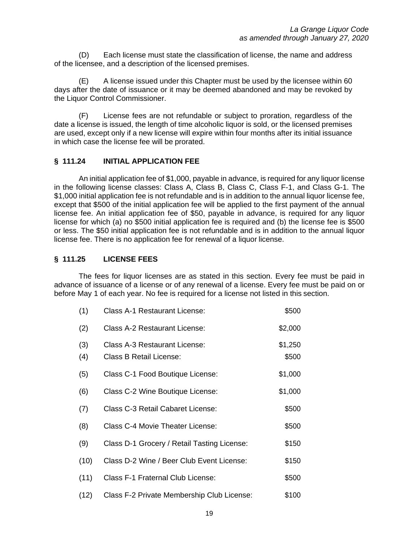(D) Each license must state the classification of license, the name and address of the licensee, and a description of the licensed premises.

(E) A license issued under this Chapter must be used by the licensee within 60 days after the date of issuance or it may be deemed abandoned and may be revoked by the Liquor Control Commissioner.

(F) License fees are not refundable or subject to proration, regardless of the date a license is issued, the length of time alcoholic liquor is sold, or the licensed premises are used, except only if a new license will expire within four months after its initial issuance in which case the license fee will be prorated.

#### **§ 111.24 INITIAL APPLICATION FEE**

An initial application fee of \$1,000, payable in advance, is required for any liquor license in the following license classes: Class A, Class B, Class C, Class F-1, and Class G-1. The \$1,000 initial application fee is not refundable and is in addition to the annual liquor license fee, except that \$500 of the initial application fee will be applied to the first payment of the annual license fee. An initial application fee of \$50, payable in advance, is required for any liquor license for which (a) no \$500 initial application fee is required and (b) the license fee is \$500 or less. The \$50 initial application fee is not refundable and is in addition to the annual liquor license fee. There is no application fee for renewal of a liquor license.

#### **§ 111.25 LICENSE FEES**

The fees for liquor licenses are as stated in this section. Every fee must be paid in advance of issuance of a license or of any renewal of a license. Every fee must be paid on or before May 1 of each year. No fee is required for a license not listed in this section.

| (1)        | Class A-1 Restaurant License:                                   | \$500            |
|------------|-----------------------------------------------------------------|------------------|
| (2)        | <b>Class A-2 Restaurant License:</b>                            | \$2,000          |
| (3)<br>(4) | <b>Class A-3 Restaurant License:</b><br>Class B Retail License: | \$1,250<br>\$500 |
| (5)        | Class C-1 Food Boutique License:                                | \$1,000          |
| (6)        | Class C-2 Wine Boutique License:                                | \$1,000          |
| (7)        | Class C-3 Retail Cabaret License:                               | \$500            |
| (8)        | Class C-4 Movie Theater License:                                | \$500            |
| (9)        | Class D-1 Grocery / Retail Tasting License:                     | \$150            |
| (10)       | Class D-2 Wine / Beer Club Event License:                       | \$150            |
| (11)       | Class F-1 Fraternal Club License:                               | \$500            |
| (12)       | Class F-2 Private Membership Club License:                      | \$100            |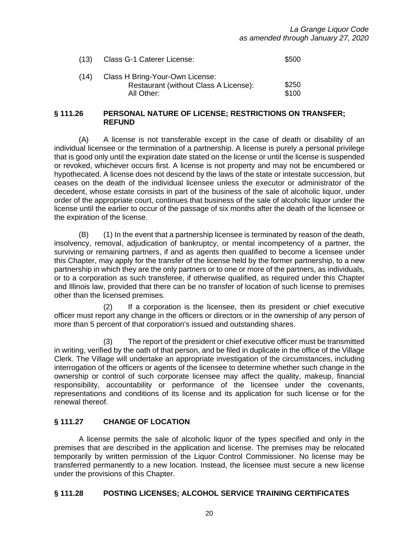| (13) | Class G-1 Caterer License:                                                             | \$500          |
|------|----------------------------------------------------------------------------------------|----------------|
| (14) | Class H Bring-Your-Own License:<br>Restaurant (without Class A License):<br>All Other: | \$250<br>\$100 |

#### **§ 111.26 PERSONAL NATURE OF LICENSE; RESTRICTIONS ON TRANSFER; REFUND**

(A) A license is not transferable except in the case of death or disability of an individual licensee or the termination of a partnership. A license is purely a personal privilege that is good only until the expiration date stated on the license or until the license is suspended or revoked, whichever occurs first. A license is not property and may not be encumbered or hypothecated. A license does not descend by the laws of the state or intestate succession, but ceases on the death of the individual licensee unless the executor or administrator of the decedent, whose estate consists in part of the business of the sale of alcoholic liquor, under order of the appropriate court, continues that business of the sale of alcoholic liquor under the license until the earlier to occur of the passage of six months after the death of the licensee or the expiration of the license.

(B) (1) In the event that a partnership licensee is terminated by reason of the death, insolvency, removal, adjudication of bankruptcy, or mental incompetency of a partner, the surviving or remaining partners, if and as agents then qualified to become a licensee under this Chapter, may apply for the transfer of the license held by the former partnership, to a new partnership in which they are the only partners or to one or more of the partners, as individuals, or to a corporation as such transferee, if otherwise qualified, as required under this Chapter and Illinois law, provided that there can be no transfer of location of such license to premises other than the licensed premises.

(2) If a corporation is the licensee, then its president or chief executive officer must report any change in the officers or directors or in the ownership of any person of more than 5 percent of that corporation's issued and outstanding shares.

(3) The report of the president or chief executive officer must be transmitted in writing, verified by the oath of that person, and be filed in duplicate in the office of the Village Clerk. The Village will undertake an appropriate investigation of the circumstances, including interrogation of the officers or agents of the licensee to determine whether such change in the ownership or control of such corporate licensee may affect the quality, makeup, financial responsibility, accountability or performance of the licensee under the covenants, representations and conditions of its license and its application for such license or for the renewal thereof.

# **§ 111.27 CHANGE OF LOCATION**

A license permits the sale of alcoholic liquor of the types specified and only in the premises that are described in the application and license. The premises may be relocated temporarily by written permission of the Liquor Control Commissioner. No license may be transferred permanently to a new location. Instead, the licensee must secure a new license under the provisions of this Chapter.

#### **§ 111.28 POSTING LICENSES; ALCOHOL SERVICE TRAINING CERTIFICATES**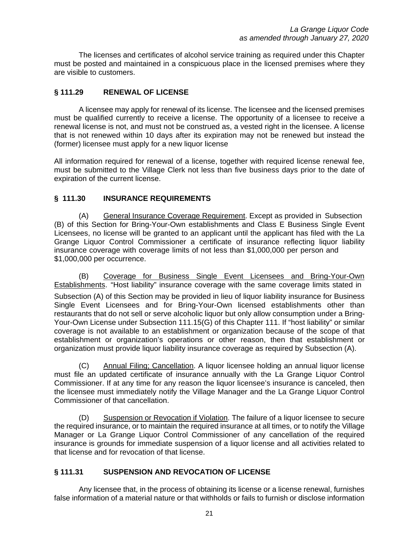The licenses and certificates of alcohol service training as required under this Chapter must be posted and maintained in a conspicuous place in the licensed premises where they are visible to customers.

# **§ 111.29 RENEWAL OF LICENSE**

A licensee may apply for renewal of its license. The licensee and the licensed premises must be qualified currently to receive a license. The opportunity of a licensee to receive a renewal license is not, and must not be construed as, a vested right in the licensee. A license that is not renewed within 10 days after its expiration may not be renewed but instead the (former) licensee must apply for a new liquor license

All information required for renewal of a license, together with required license renewal fee, must be submitted to the Village Clerk not less than five business days prior to the date of expiration of the current license.

#### **§ 111.30 INSURANCE REQUIREMENTS**

(A) General Insurance Coverage Requirement. Except as provided in Subsection (B) of this Section for Bring-Your-Own establishments and Class E Business Single Event Licensees, no license will be granted to an applicant until the applicant has filed with the La Grange Liquor Control Commissioner a certificate of insurance reflecting liquor liability insurance coverage with coverage limits of not less than \$1,000,000 per person and \$1,000,000 per occurrence.

(B) Coverage for Business Single Event Licensees and Bring-Your-Own Establishments. "Host liability" insurance coverage with the same coverage limits stated in Subsection (A) of this Section may be provided in lieu of liquor liability insurance for Business Single Event Licensees and for Bring-Your-Own licensed establishments other than restaurants that do not sell or serve alcoholic liquor but only allow consumption under a Bring-Your-Own License under Subsection 111.15(G) of this Chapter 111. If "host liability" or similar coverage is not available to an establishment or organization because of the scope of that establishment or organization's operations or other reason, then that establishment or organization must provide liquor liability insurance coverage as required by Subsection (A).

(C) Annual Filing; Cancellation. A liquor licensee holding an annual liquor license must file an updated certificate of insurance annually with the La Grange Liquor Control Commissioner. If at any time for any reason the liquor licensee's insurance is canceled, then the licensee must immediately notify the Village Manager and the La Grange Liquor Control Commissioner of that cancellation.

(D) Suspension or Revocation if Violation. The failure of a liquor licensee to secure the required insurance, or to maintain the required insurance at all times, or to notify the Village Manager or La Grange Liquor Control Commissioner of any cancellation of the required insurance is grounds for immediate suspension of a liquor license and all activities related to that license and for revocation of that license.

# **§ 111.31 SUSPENSION AND REVOCATION OF LICENSE**

Any licensee that, in the process of obtaining its license or a license renewal, furnishes false information of a material nature or that withholds or fails to furnish or disclose information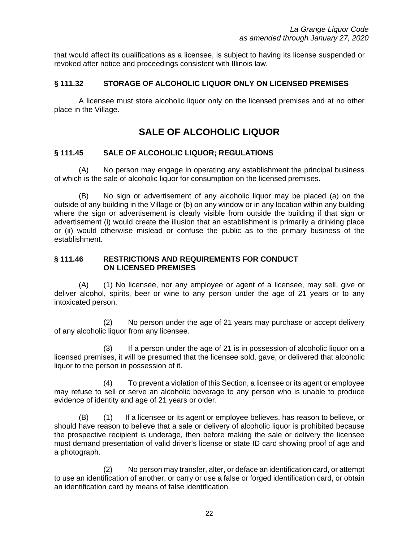that would affect its qualifications as a licensee, is subject to having its license suspended or revoked after notice and proceedings consistent with Illinois law.

#### **§ 111.32 STORAGE OF ALCOHOLIC LIQUOR ONLY ON LICENSED PREMISES**

A licensee must store alcoholic liquor only on the licensed premises and at no other place in the Village.

# **SALE OF ALCOHOLIC LIQUOR**

#### **§ 111.45 SALE OF ALCOHOLIC LIQUOR; REGULATIONS**

(A) No person may engage in operating any establishment the principal business of which is the sale of alcoholic liquor for consumption on the licensed premises.

(B) No sign or advertisement of any alcoholic liquor may be placed (a) on the outside of any building in the Village or (b) on any window or in any location within any building where the sign or advertisement is clearly visible from outside the building if that sign or advertisement (i) would create the illusion that an establishment is primarily a drinking place or (ii) would otherwise mislead or confuse the public as to the primary business of the establishment.

#### **§ 111.46 RESTRICTIONS AND REQUIREMENTS FOR CONDUCT ON LICENSED PREMISES**

(A) (1) No licensee, nor any employee or agent of a licensee, may sell, give or deliver alcohol, spirits, beer or wine to any person under the age of 21 years or to any intoxicated person.

(2) No person under the age of 21 years may purchase or accept delivery of any alcoholic liquor from any licensee.

(3) If a person under the age of 21 is in possession of alcoholic liquor on a licensed premises, it will be presumed that the licensee sold, gave, or delivered that alcoholic liquor to the person in possession of it.

(4) To prevent a violation of this Section, a licensee or its agent or employee may refuse to sell or serve an alcoholic beverage to any person who is unable to produce evidence of identity and age of 21 years or older.

(B) (1) If a licensee or its agent or employee believes, has reason to believe, or should have reason to believe that a sale or delivery of alcoholic liquor is prohibited because the prospective recipient is underage, then before making the sale or delivery the licensee must demand presentation of valid driver's license or state ID card showing proof of age and a photograph.

(2) No person may transfer, alter, or deface an identification card, or attempt to use an identification of another, or carry or use a false or forged identification card, or obtain an identification card by means of false identification.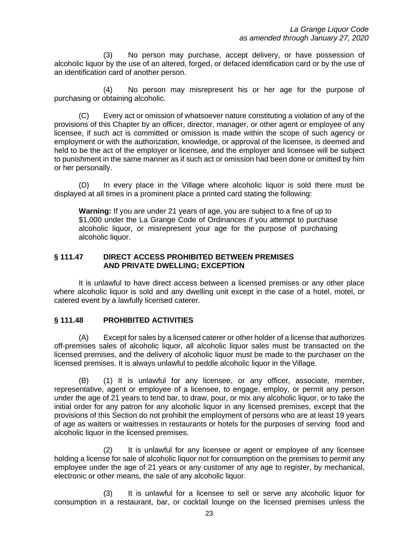(3) No person may purchase, accept delivery, or have possession of alcoholic liquor by the use of an altered, forged, or defaced identification card or by the use of an identification card of another person.

(4) No person may misrepresent his or her age for the purpose of purchasing or obtaining alcoholic.

(C) Every act or omission of whatsoever nature constituting a violation of any of the provisions of this Chapter by an officer, director, manager, or other agent or employee of any licensee, if such act is committed or omission is made within the scope of such agency or employment or with the authorization, knowledge, or approval of the licensee, is deemed and held to be the act of the employer or licensee, and the employer and licensee will be subject to punishment in the same manner as if such act or omission had been done or omitted by him or her personally.

(D) In every place in the Village where alcoholic liquor is sold there must be displayed at all times in a prominent place a printed card stating the following:

**Warning:** If you are under 21 years of age, you are subject to a fine of up to \$1,000 under the La Grange Code of Ordinances if you attempt to purchase alcoholic liquor, or misrepresent your age for the purpose of purchasing alcoholic liquor.

#### **§ 111.47 DIRECT ACCESS PROHIBITED BETWEEN PREMISES AND PRIVATE DWELLING; EXCEPTION**

It is unlawful to have direct access between a licensed premises or any other place where alcoholic liquor is sold and any dwelling unit except in the case of a hotel, motel, or catered event by a lawfully licensed caterer.

#### **§ 111.48 PROHIBITED ACTIVITIES**

(A) Except for sales by a licensed caterer or other holder of a license that authorizes off-premises sales of alcoholic liquor, all alcoholic liquor sales must be transacted on the licensed premises, and the delivery of alcoholic liquor must be made to the purchaser on the licensed premises. It is always unlawful to peddle alcoholic liquor in the Village.

(B) (1) It is unlawful for any licensee, or any officer, associate, member, representative, agent or employee of a licensee, to engage, employ, or permit any person under the age of 21 years to tend bar, to draw, pour, or mix any alcoholic liquor, or to take the initial order for any patron for any alcoholic liquor in any licensed premises, except that the provisions of this Section do not prohibit the employment of persons who are at least 19 years of age as waiters or waitresses in restaurants or hotels for the purposes of serving food and alcoholic liquor in the licensed premises.

(2) It is unlawful for any licensee or agent or employee of any licensee holding a license for sale of alcoholic liquor not for consumption on the premises to permit any employee under the age of 21 years or any customer of any age to register, by mechanical, electronic or other means, the sale of any alcoholic liquor.

(3) It is unlawful for a licensee to sell or serve any alcoholic liquor for consumption in a restaurant, bar, or cocktail lounge on the licensed premises unless the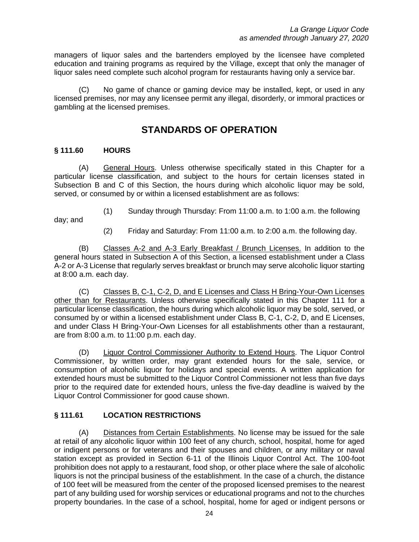managers of liquor sales and the bartenders employed by the licensee have completed education and training programs as required by the Village, except that only the manager of liquor sales need complete such alcohol program for restaurants having only a service bar.

(C) No game of chance or gaming device may be installed, kept, or used in any licensed premises, nor may any licensee permit any illegal, disorderly, or immoral practices or gambling at the licensed premises.

# **STANDARDS OF OPERATION**

## **§ 111.60 HOURS**

(A) General Hours. Unless otherwise specifically stated in this Chapter for a particular license classification, and subject to the hours for certain licenses stated in Subsection B and C of this Section, the hours during which alcoholic liquor may be sold, served, or consumed by or within a licensed establishment are as follows:

(1) Sunday through Thursday: From 11:00 a.m. to 1:00 a.m. the following

day; and

(2) Friday and Saturday: From 11:00 a.m. to 2:00 a.m. the following day.

(B) Classes A-2 and A-3 Early Breakfast / Brunch Licenses. In addition to the general hours stated in Subsection A of this Section, a licensed establishment under a Class A-2 or A-3 License that regularly serves breakfast or brunch may serve alcoholic liquor starting at 8:00 a.m. each day.

(C) Classes B, C-1, C-2, D, and E Licenses and Class H Bring-Your-Own Licenses other than for Restaurants. Unless otherwise specifically stated in this Chapter 111 for a particular license classification, the hours during which alcoholic liquor may be sold, served, or consumed by or within a licensed establishment under Class B, C-1, C-2, D, and E Licenses, and under Class H Bring-Your-Own Licenses for all establishments other than a restaurant, are from 8:00 a.m. to 11:00 p.m. each day.

(D) Liquor Control Commissioner Authority to Extend Hours. The Liquor Control Commissioner, by written order, may grant extended hours for the sale, service, or consumption of alcoholic liquor for holidays and special events. A written application for extended hours must be submitted to the Liquor Control Commissioner not less than five days prior to the required date for extended hours, unless the five-day deadline is waived by the Liquor Control Commissioner for good cause shown.

# **§ 111.61 LOCATION RESTRICTIONS**

(A) Distances from Certain Establishments. No license may be issued for the sale at retail of any alcoholic liquor within 100 feet of any church, school, hospital, home for aged or indigent persons or for veterans and their spouses and children, or any military or naval station except as provided in Section 6-11 of the Illinois Liquor Control Act. The 100-foot prohibition does not apply to a restaurant, food shop, or other place where the sale of alcoholic liquors is not the principal business of the establishment. In the case of a church, the distance of 100 feet will be measured from the center of the proposed licensed premises to the nearest part of any building used for worship services or educational programs and not to the churches property boundaries. In the case of a school, hospital, home for aged or indigent persons or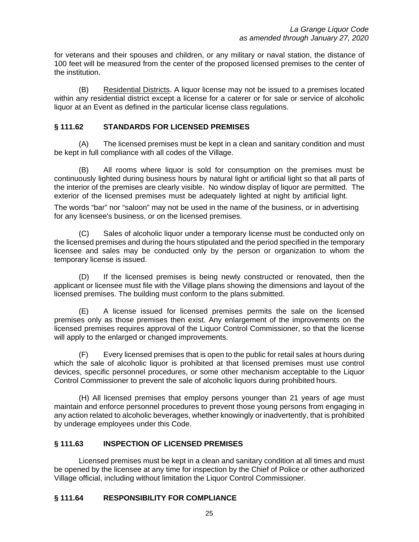for veterans and their spouses and children, or any military or naval station, the distance of 100 feet will be measured from the center of the proposed licensed premises to the center of the institution.

(B) Residential Districts. A liquor license may not be issued to a premises located within any residential district except a license for a caterer or for sale or service of alcoholic liquor at an Event as defined in the particular license class regulations.

#### **§ 111.62 STANDARDS FOR LICENSED PREMISES**

(A) The licensed premises must be kept in a clean and sanitary condition and must be kept in full compliance with all codes of the Village.

All rooms where liquor is sold for consumption on the premises must be continuously lighted during business hours by natural light or artificial light so that all parts of the interior of the premises are clearly visible. No window display of liquor are permitted. The exterior of the licensed premises must be adequately lighted at night by artificial light.

The words "bar" nor "saloon" may not be used in the name of the business, or in advertising for any licensee's business, or on the licensed premises.

(C) Sales of alcoholic liquor under a temporary license must be conducted only on the licensed premises and during the hours stipulated and the period specified in the temporary licensee and sales may be conducted only by the person or organization to whom the temporary license is issued.

(D) If the licensed premises is being newly constructed or renovated, then the applicant or licensee must file with the Village plans showing the dimensions and layout of the licensed premises. The building must conform to the plans submitted.

(E) A license issued for licensed premises permits the sale on the licensed premises only as those premises then exist. Any enlargement of the improvements on the licensed premises requires approval of the Liquor Control Commissioner, so that the license will apply to the enlarged or changed improvements.

(F) Every licensed premises that is open to the public for retail sales at hours during which the sale of alcoholic liquor is prohibited at that licensed premises must use control devices, specific personnel procedures, or some other mechanism acceptable to the Liquor Control Commissioner to prevent the sale of alcoholic liquors during prohibited hours.

(H) All licensed premises that employ persons younger than 21 years of age must maintain and enforce personnel procedures to prevent those young persons from engaging in any action related to alcoholic beverages, whether knowingly or inadvertently, that is prohibited by underage employees under this Code.

#### **§ 111.63 INSPECTION OF LICENSED PREMISES**

Licensed premises must be kept in a clean and sanitary condition at all times and must be opened by the licensee at any time for inspection by the Chief of Police or other authorized Village official, including without limitation the Liquor Control Commissioner.

# **§ 111.64 RESPONSIBILITY FOR COMPLIANCE**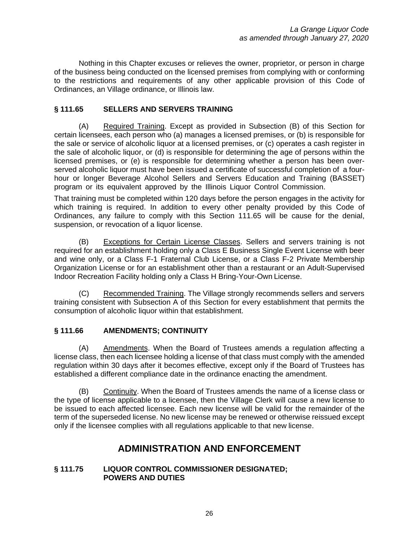Nothing in this Chapter excuses or relieves the owner, proprietor, or person in charge of the business being conducted on the licensed premises from complying with or conforming to the restrictions and requirements of any other applicable provision of this Code of Ordinances, an Village ordinance, or Illinois law.

# **§ 111.65 SELLERS AND SERVERS TRAINING**

(A) Required Training. Except as provided in Subsection (B) of this Section for certain licensees, each person who (a) manages a licensed premises, or (b) is responsible for the sale or service of alcoholic liquor at a licensed premises, or (c) operates a cash register in the sale of alcoholic liquor, or (d) is responsible for determining the age of persons within the licensed premises, or (e) is responsible for determining whether a person has been overserved alcoholic liquor must have been issued a certificate of successful completion of a fourhour or longer Beverage Alcohol Sellers and Servers Education and Training (BASSET) program or its equivalent approved by the Illinois Liquor Control Commission.

That training must be completed within 120 days before the person engages in the activity for which training is required. In addition to every other penalty provided by this Code of Ordinances, any failure to comply with this Section 111.65 will be cause for the denial, suspension, or revocation of a liquor license.

(B) Exceptions for Certain License Classes. Sellers and servers training is not required for an establishment holding only a Class E Business Single Event License with beer and wine only, or a Class F-1 Fraternal Club License, or a Class F-2 Private Membership Organization License or for an establishment other than a restaurant or an Adult-Supervised Indoor Recreation Facility holding only a Class H Bring-Your-Own License.

(C) Recommended Training. The Village strongly recommends sellers and servers training consistent with Subsection A of this Section for every establishment that permits the consumption of alcoholic liquor within that establishment.

#### **§ 111.66 AMENDMENTS; CONTINUITY**

(A) Amendments. When the Board of Trustees amends a regulation affecting a license class, then each licensee holding a license of that class must comply with the amended regulation within 30 days after it becomes effective, except only if the Board of Trustees has established a different compliance date in the ordinance enacting the amendment.

(B) Continuity. When the Board of Trustees amends the name of a license class or the type of license applicable to a licensee, then the Village Clerk will cause a new license to be issued to each affected licensee. Each new license will be valid for the remainder of the term of the superseded license. No new license may be renewed or otherwise reissued except only if the licensee complies with all regulations applicable to that new license.

# **ADMINISTRATION AND ENFORCEMENT**

#### **§ 111.75 LIQUOR CONTROL COMMISSIONER DESIGNATED; POWERS AND DUTIES**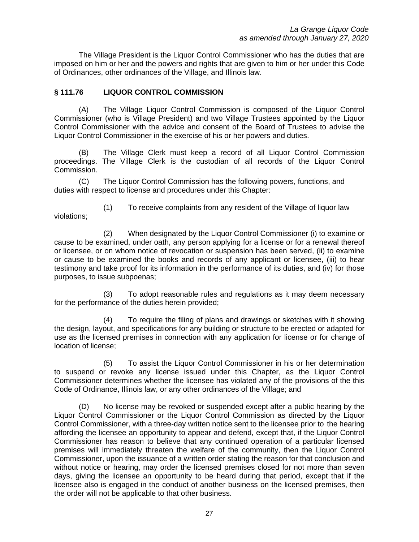The Village President is the Liquor Control Commissioner who has the duties that are imposed on him or her and the powers and rights that are given to him or her under this Code of Ordinances, other ordinances of the Village, and Illinois law.

#### **§ 111.76 LIQUOR CONTROL COMMISSION**

(A) The Village Liquor Control Commission is composed of the Liquor Control Commissioner (who is Village President) and two Village Trustees appointed by the Liquor Control Commissioner with the advice and consent of the Board of Trustees to advise the Liquor Control Commissioner in the exercise of his or her powers and duties.

(B) The Village Clerk must keep a record of all Liquor Control Commission proceedings. The Village Clerk is the custodian of all records of the Liquor Control Commission.

(C) The Liquor Control Commission has the following powers, functions, and duties with respect to license and procedures under this Chapter:

(1) To receive complaints from any resident of the Village of liquor law violations;

(2) When designated by the Liquor Control Commissioner (i) to examine or cause to be examined, under oath, any person applying for a license or for a renewal thereof or licensee, or on whom notice of revocation or suspension has been served, (ii) to examine or cause to be examined the books and records of any applicant or licensee, (iii) to hear testimony and take proof for its information in the performance of its duties, and (iv) for those purposes, to issue subpoenas;

(3) To adopt reasonable rules and regulations as it may deem necessary for the performance of the duties herein provided;

(4) To require the filing of plans and drawings or sketches with it showing the design, layout, and specifications for any building or structure to be erected or adapted for use as the licensed premises in connection with any application for license or for change of location of license;

(5) To assist the Liquor Control Commissioner in his or her determination to suspend or revoke any license issued under this Chapter, as the Liquor Control Commissioner determines whether the licensee has violated any of the provisions of the this Code of Ordinance, Illinois law, or any other ordinances of the Village; and

(D) No license may be revoked or suspended except after a public hearing by the Liquor Control Commissioner or the Liquor Control Commission as directed by the Liquor Control Commissioner, with a three-day written notice sent to the licensee prior to the hearing affording the licensee an opportunity to appear and defend, except that, if the Liquor Control Commissioner has reason to believe that any continued operation of a particular licensed premises will immediately threaten the welfare of the community, then the Liquor Control Commissioner, upon the issuance of a written order stating the reason for that conclusion and without notice or hearing, may order the licensed premises closed for not more than seven days, giving the licensee an opportunity to be heard during that period, except that if the licensee also is engaged in the conduct of another business on the licensed premises, then the order will not be applicable to that other business.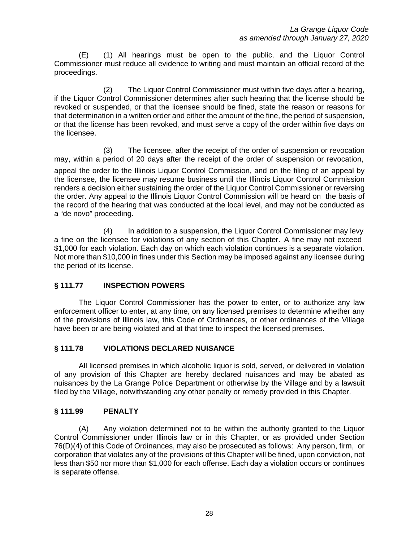(E) (1) All hearings must be open to the public, and the Liquor Control Commissioner must reduce all evidence to writing and must maintain an official record of the proceedings.

(2) The Liquor Control Commissioner must within five days after a hearing, if the Liquor Control Commissioner determines after such hearing that the license should be revoked or suspended, or that the licensee should be fined, state the reason or reasons for that determination in a written order and either the amount of the fine, the period of suspension, or that the license has been revoked, and must serve a copy of the order within five days on the licensee.

(3) The licensee, after the receipt of the order of suspension or revocation may, within a period of 20 days after the receipt of the order of suspension or revocation, appeal the order to the Illinois Liquor Control Commission, and on the filing of an appeal by the licensee, the licensee may resume business until the Illinois Liquor Control Commission renders a decision either sustaining the order of the Liquor Control Commissioner or reversing the order. Any appeal to the Illinois Liquor Control Commission will be heard on the basis of the record of the hearing that was conducted at the local level, and may not be conducted as a "de novo" proceeding.

(4) In addition to a suspension, the Liquor Control Commissioner may levy a fine on the licensee for violations of any section of this Chapter. A fine may not exceed \$1,000 for each violation. Each day on which each violation continues is a separate violation. Not more than \$10,000 in fines under this Section may be imposed against any licensee during the period of its license.

# **§ 111.77 INSPECTION POWERS**

The Liquor Control Commissioner has the power to enter, or to authorize any law enforcement officer to enter, at any time, on any licensed premises to determine whether any of the provisions of Illinois law, this Code of Ordinances, or other ordinances of the Village have been or are being violated and at that time to inspect the licensed premises.

#### **§ 111.78 VIOLATIONS DECLARED NUISANCE**

All licensed premises in which alcoholic liquor is sold, served, or delivered in violation of any provision of this Chapter are hereby declared nuisances and may be abated as nuisances by the La Grange Police Department or otherwise by the Village and by a lawsuit filed by the Village, notwithstanding any other penalty or remedy provided in this Chapter.

#### **§ 111.99 PENALTY**

(A) Any violation determined not to be within the authority granted to the Liquor Control Commissioner under Illinois law or in this Chapter, or as provided under Section 76(D)(4) of this Code of Ordinances, may also be prosecuted as follows: Any person, firm, or corporation that violates any of the provisions of this Chapter will be fined, upon conviction, not less than \$50 nor more than \$1,000 for each offense. Each day a violation occurs or continues is separate offense.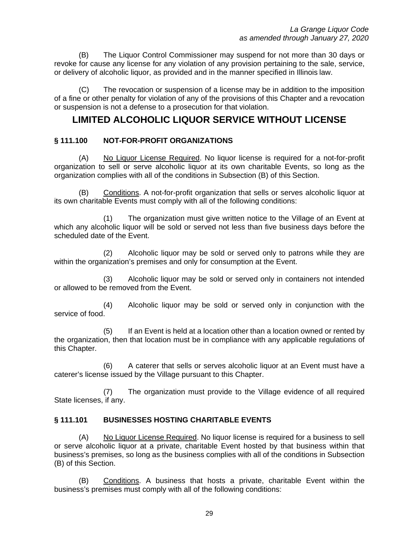(B) The Liquor Control Commissioner may suspend for not more than 30 days or revoke for cause any license for any violation of any provision pertaining to the sale, service, or delivery of alcoholic liquor, as provided and in the manner specified in Illinois law.

(C) The revocation or suspension of a license may be in addition to the imposition of a fine or other penalty for violation of any of the provisions of this Chapter and a revocation or suspension is not a defense to a prosecution for that violation.

# **LIMITED ALCOHOLIC LIQUOR SERVICE WITHOUT LICENSE**

#### **§ 111.100 NOT-FOR-PROFIT ORGANIZATIONS**

(A) No Liquor License Required. No liquor license is required for a not-for-profit organization to sell or serve alcoholic liquor at its own charitable Events, so long as the organization complies with all of the conditions in Subsection (B) of this Section.

(B) Conditions. A not-for-profit organization that sells or serves alcoholic liquor at its own charitable Events must comply with all of the following conditions:

(1) The organization must give written notice to the Village of an Event at which any alcoholic liquor will be sold or served not less than five business days before the scheduled date of the Event.

(2) Alcoholic liquor may be sold or served only to patrons while they are within the organization's premises and only for consumption at the Event.

(3) Alcoholic liquor may be sold or served only in containers not intended or allowed to be removed from the Event.

(4) Alcoholic liquor may be sold or served only in conjunction with the service of food.

(5) If an Event is held at a location other than a location owned or rented by the organization, then that location must be in compliance with any applicable regulations of this Chapter.

(6) A caterer that sells or serves alcoholic liquor at an Event must have a caterer's license issued by the Village pursuant to this Chapter.

(7) The organization must provide to the Village evidence of all required State licenses, if any.

#### **§ 111.101 BUSINESSES HOSTING CHARITABLE EVENTS**

(A) No Liquor License Required. No liquor license is required for a business to sell or serve alcoholic liquor at a private, charitable Event hosted by that business within that business's premises, so long as the business complies with all of the conditions in Subsection (B) of this Section.

(B) Conditions. A business that hosts a private, charitable Event within the business's premises must comply with all of the following conditions: